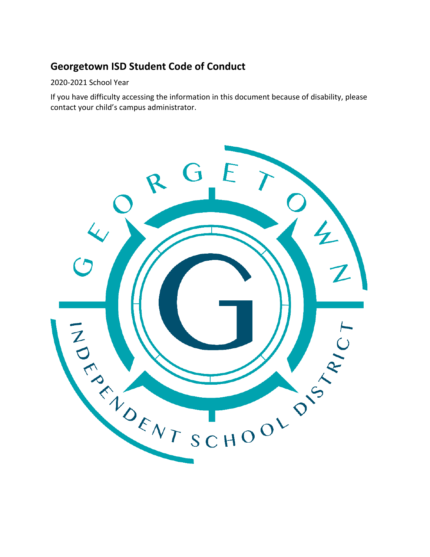# **Georgetown ISD Student Code of Conduct**

#### 2020-2021 School Year

If you have difficulty accessing the information in this document because of disability, please contact your child's campus administrator.

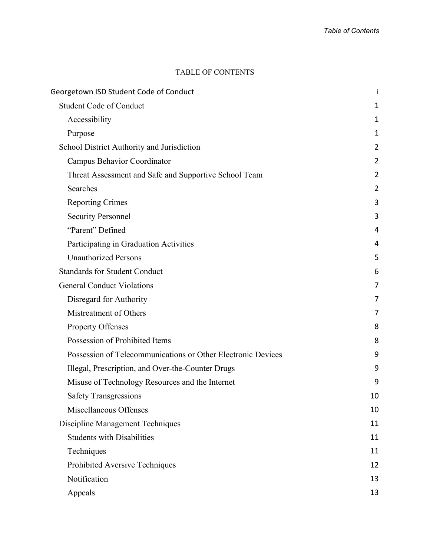#### TABLE OF CONTENTS

| Georgetown ISD Student Code of Conduct                       | i              |  |
|--------------------------------------------------------------|----------------|--|
| <b>Student Code of Conduct</b>                               | 1              |  |
| Accessibility                                                | 1              |  |
| Purpose                                                      | 1              |  |
| School District Authority and Jurisdiction                   | $\overline{2}$ |  |
| Campus Behavior Coordinator                                  | 2              |  |
| Threat Assessment and Safe and Supportive School Team        | $\overline{2}$ |  |
| Searches                                                     | $\overline{2}$ |  |
| <b>Reporting Crimes</b>                                      | 3              |  |
| <b>Security Personnel</b>                                    | 3              |  |
| "Parent" Defined                                             | 4              |  |
| Participating in Graduation Activities                       | 4              |  |
| <b>Unauthorized Persons</b>                                  | 5              |  |
| <b>Standards for Student Conduct</b>                         | 6              |  |
| <b>General Conduct Violations</b>                            | $\overline{7}$ |  |
| Disregard for Authority                                      | 7              |  |
| Mistreatment of Others                                       | 7              |  |
| Property Offenses                                            | 8              |  |
| Possession of Prohibited Items                               | 8              |  |
| Possession of Telecommunications or Other Electronic Devices | 9              |  |
| Illegal, Prescription, and Over-the-Counter Drugs            | 9              |  |
| Misuse of Technology Resources and the Internet              | 9              |  |
| <b>Safety Transgressions</b>                                 | 10             |  |
| Miscellaneous Offenses                                       | 10             |  |
| Discipline Management Techniques                             | 11             |  |
| <b>Students with Disabilities</b>                            | 11             |  |
| Techniques                                                   | 11             |  |
| Prohibited Aversive Techniques                               | 12             |  |
| Notification                                                 | 13             |  |
| Appeals                                                      | 13             |  |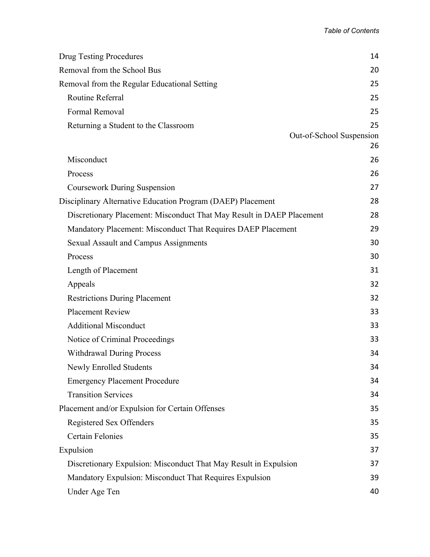| <b>Drug Testing Procedures</b>                                        | 14                       |
|-----------------------------------------------------------------------|--------------------------|
| Removal from the School Bus                                           | 20                       |
| Removal from the Regular Educational Setting                          | 25                       |
| Routine Referral                                                      | 25                       |
| Formal Removal                                                        | 25                       |
| Returning a Student to the Classroom                                  | 25                       |
|                                                                       | Out-of-School Suspension |
|                                                                       | 26                       |
| Misconduct                                                            | 26                       |
| Process                                                               | 26                       |
| <b>Coursework During Suspension</b>                                   | 27                       |
| Disciplinary Alternative Education Program (DAEP) Placement           | 28                       |
| Discretionary Placement: Misconduct That May Result in DAEP Placement | 28                       |
| Mandatory Placement: Misconduct That Requires DAEP Placement          | 29                       |
| <b>Sexual Assault and Campus Assignments</b>                          | 30                       |
| Process                                                               | 30                       |
| Length of Placement                                                   | 31                       |
| Appeals                                                               | 32                       |
| <b>Restrictions During Placement</b>                                  | 32                       |
| <b>Placement Review</b>                                               | 33                       |
| <b>Additional Misconduct</b>                                          | 33                       |
| Notice of Criminal Proceedings                                        | 33                       |
| <b>Withdrawal During Process</b>                                      | 34                       |
| Newly Enrolled Students                                               | 34                       |
| <b>Emergency Placement Procedure</b>                                  | 34                       |
| <b>Transition Services</b>                                            | 34                       |
| Placement and/or Expulsion for Certain Offenses                       | 35                       |
| Registered Sex Offenders                                              | 35                       |
| <b>Certain Felonies</b>                                               | 35                       |
| Expulsion                                                             | 37                       |
| Discretionary Expulsion: Misconduct That May Result in Expulsion      | 37                       |
| Mandatory Expulsion: Misconduct That Requires Expulsion               | 39                       |
| Under Age Ten                                                         | 40                       |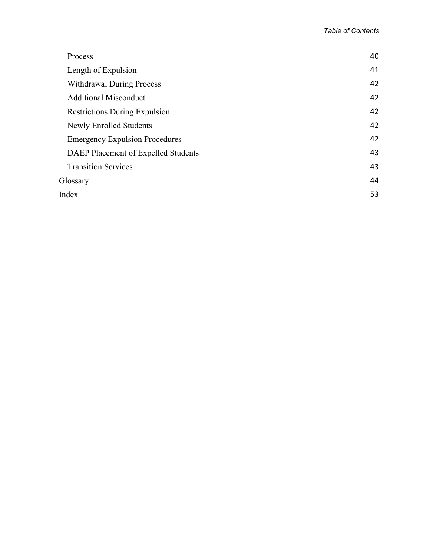| Process                               | 40 |
|---------------------------------------|----|
| Length of Expulsion                   | 41 |
| <b>Withdrawal During Process</b>      | 42 |
| <b>Additional Misconduct</b>          | 42 |
| <b>Restrictions During Expulsion</b>  | 42 |
| <b>Newly Enrolled Students</b>        | 42 |
| <b>Emergency Expulsion Procedures</b> | 42 |
| DAEP Placement of Expelled Students   | 43 |
| <b>Transition Services</b>            | 43 |
| Glossary                              | 44 |
| Index                                 | 53 |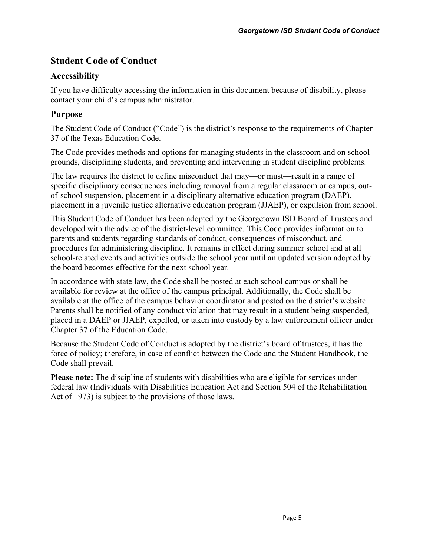# **Student Code of Conduct**

# **Accessibility**

If you have difficulty accessing the information in this document because of disability, please contact your child's campus administrator.

# **Purpose**

The Student Code of Conduct ("Code") is the district's response to the requirements of Chapter 37 of the Texas Education Code.

The Code provides methods and options for managing students in the classroom and on school grounds, disciplining students, and preventing and intervening in student discipline problems.

The law requires the district to define misconduct that may—or must—result in a range of specific disciplinary consequences including removal from a regular classroom or campus, outof-school suspension, placement in a disciplinary alternative education program (DAEP), placement in a juvenile justice alternative education program (JJAEP), or expulsion from school.

This Student Code of Conduct has been adopted by the Georgetown ISD Board of Trustees and developed with the advice of the district-level committee. This Code provides information to parents and students regarding standards of conduct, consequences of misconduct, and procedures for administering discipline. It remains in effect during summer school and at all school-related events and activities outside the school year until an updated version adopted by the board becomes effective for the next school year.

In accordance with state law, the Code shall be posted at each school campus or shall be available for review at the office of the campus principal. Additionally, the Code shall be available at the office of the campus behavior coordinator and posted on the district's website. Parents shall be notified of any conduct violation that may result in a student being suspended, placed in a DAEP or JJAEP, expelled, or taken into custody by a law enforcement officer under Chapter 37 of the Education Code.

Because the Student Code of Conduct is adopted by the district's board of trustees, it has the force of policy; therefore, in case of conflict between the Code and the Student Handbook, the Code shall prevail.

**Please note:** The discipline of students with disabilities who are eligible for services under federal law (Individuals with Disabilities Education Act and Section 504 of the Rehabilitation Act of 1973) is subject to the provisions of those laws.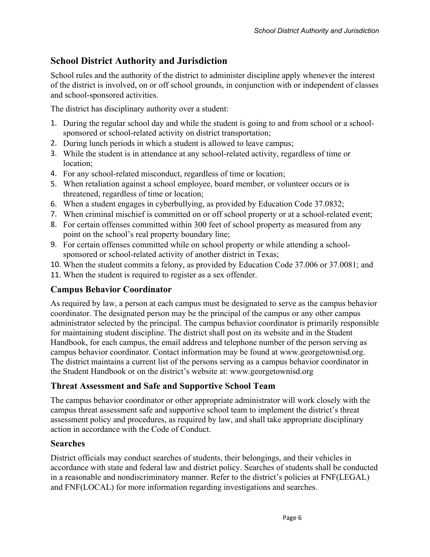# **School District Authority and Jurisdiction**

School rules and the authority of the district to administer discipline apply whenever the interest of the district is involved, on or off school grounds, in conjunction with or independent of classes and school-sponsored activities.

The district has disciplinary authority over a student:

- 1. During the regular school day and while the student is going to and from school or a schoolsponsored or school-related activity on district transportation;
- 2. During lunch periods in which a student is allowed to leave campus;
- 3. While the student is in attendance at any school-related activity, regardless of time or location;
- 4. For any school-related misconduct, regardless of time or location;
- 5. When retaliation against a school employee, board member, or volunteer occurs or is threatened, regardless of time or location;
- 6. When a student engages in cyberbullying, as provided by Education Code 37.0832;
- 7. When criminal mischief is committed on or off school property or at a school-related event;
- 8. For certain offenses committed within 300 feet of school property as measured from any point on the school's real property boundary line;
- 9. For certain offenses committed while on school property or while attending a schoolsponsored or school-related activity of another district in Texas;
- 10. When the student commits a felony, as provided by Education Code 37.006 or 37.0081; and
- 11. When the student is required to register as a sex offender.

# **Campus Behavior Coordinator**

As required by law, a person at each campus must be designated to serve as the campus behavior coordinator. The designated person may be the principal of the campus or any other campus administrator selected by the principal. The campus behavior coordinator is primarily responsible for maintaining student discipline. The district shall post on its website and in the Student Handbook, for each campus, the email address and telephone number of the person serving as campus behavior coordinator. Contact information may be found at www.georgetownisd.org. The district maintains a current list of the persons serving as a campus behavior coordinator in the Student Handbook or on the district's website at: www.georgetownisd.org

# **Threat Assessment and Safe and Supportive School Team**

The campus behavior coordinator or other appropriate administrator will work closely with the campus threat assessment safe and supportive school team to implement the district's threat assessment policy and procedures, as required by law, and shall take appropriate disciplinary action in accordance with the Code of Conduct.

# **Searches**

District officials may conduct searches of students, their belongings, and their vehicles in accordance with state and federal law and district policy. Searches of students shall be conducted in a reasonable and nondiscriminatory manner. Refer to the district's policies at FNF(LEGAL) and FNF(LOCAL) for more information regarding investigations and searches.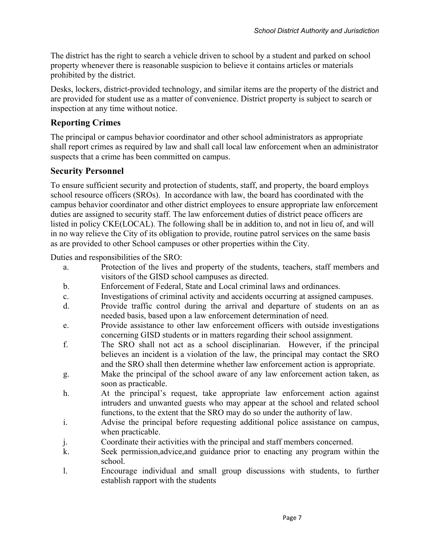The district has the right to search a vehicle driven to school by a student and parked on school property whenever there is reasonable suspicion to believe it contains articles or materials prohibited by the district.

Desks, lockers, district-provided technology, and similar items are the property of the district and are provided for student use as a matter of convenience. District property is subject to search or inspection at any time without notice.

# **Reporting Crimes**

The principal or campus behavior coordinator and other school administrators as appropriate shall report crimes as required by law and shall call local law enforcement when an administrator suspects that a crime has been committed on campus.

# **Security Personnel**

To ensure sufficient security and protection of students, staff, and property, the board employs school resource officers (SROs). In accordance with law, the board has coordinated with the campus behavior coordinator and other district employees to ensure appropriate law enforcement duties are assigned to security staff. The law enforcement duties of district peace officers are listed in policy CKE(LOCAL). The following shall be in addition to, and not in lieu of, and will in no way relieve the City of its obligation to provide, routine patrol services on the same basis as are provided to other School campuses or other properties within the City.

Duties and responsibilities of the SRO:

- a. Protection of the lives and property of the students, teachers, staff members and visitors of the GISD school campuses as directed.
- b. Enforcement of Federal, State and Local criminal laws and ordinances.
- c. Investigations of criminal activity and accidents occurring at assigned campuses.
- d. Provide traffic control during the arrival and departure of students on an as needed basis, based upon a law enforcement determination of need.
- e. Provide assistance to other law enforcement officers with outside investigations concerning GISD students or in matters regarding their school assignment.
- f. The SRO shall not act as a school disciplinarian. However, if the principal believes an incident is a violation of the law, the principal may contact the SRO and the SRO shall then determine whether law enforcement action is appropriate.
- g. Make the principal of the school aware of any law enforcement action taken, as soon as practicable.
- h. At the principal's request, take appropriate law enforcement action against intruders and unwanted guests who may appear at the school and related school functions, to the extent that the SRO may do so under the authority of law.
- i. Advise the principal before requesting additional police assistance on campus, when practicable.
- j. Coordinate their activities with the principal and staff members concerned.
- k. Seek permission,advice,and guidance prior to enacting any program within the school.
- l. Encourage individual and small group discussions with students, to further establish rapport with the students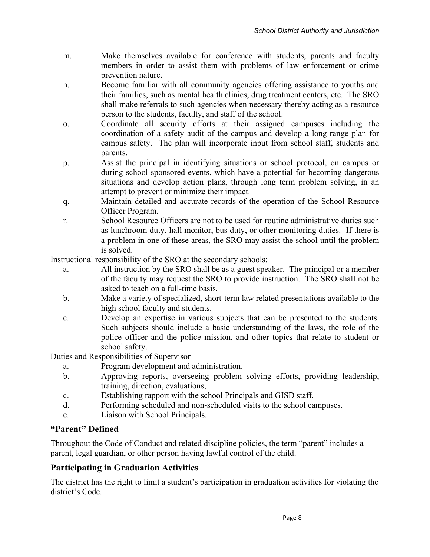- m. Make themselves available for conference with students, parents and faculty members in order to assist them with problems of law enforcement or crime prevention nature.
- n. Become familiar with all community agencies offering assistance to youths and their families, such as mental health clinics, drug treatment centers, etc. The SRO shall make referrals to such agencies when necessary thereby acting as a resource person to the students, faculty, and staff of the school.
- o. Coordinate all security efforts at their assigned campuses including the coordination of a safety audit of the campus and develop a long-range plan for campus safety. The plan will incorporate input from school staff, students and parents.
- p. Assist the principal in identifying situations or school protocol, on campus or during school sponsored events, which have a potential for becoming dangerous situations and develop action plans, through long term problem solving, in an attempt to prevent or minimize their impact.
- q. Maintain detailed and accurate records of the operation of the School Resource Officer Program.
- r. School Resource Officers are not to be used for routine administrative duties such as lunchroom duty, hall monitor, bus duty, or other monitoring duties. If there is a problem in one of these areas, the SRO may assist the school until the problem is solved.

Instructional responsibility of the SRO at the secondary schools:

- a. All instruction by the SRO shall be as a guest speaker. The principal or a member of the faculty may request the SRO to provide instruction. The SRO shall not be asked to teach on a full-time basis.
- b. Make a variety of specialized, short-term law related presentations available to the high school faculty and students.
- c. Develop an expertise in various subjects that can be presented to the students. Such subjects should include a basic understanding of the laws, the role of the police officer and the police mission, and other topics that relate to student or school safety.

Duties and Responsibilities of Supervisor

- a. Program development and administration.
- b. Approving reports, overseeing problem solving efforts, providing leadership, training, direction, evaluations,
- c. Establishing rapport with the school Principals and GISD staff.
- d. Performing scheduled and non-scheduled visits to the school campuses.
- e. Liaison with School Principals.

# **"Parent" Defined**

Throughout the Code of Conduct and related discipline policies, the term "parent" includes a parent, legal guardian, or other person having lawful control of the child.

# **Participating in Graduation Activities**

The district has the right to limit a student's participation in graduation activities for violating the district's Code.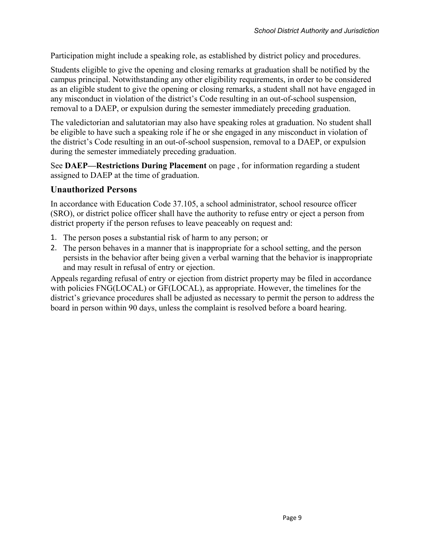Participation might include a speaking role, as established by district policy and procedures.

Students eligible to give the opening and closing remarks at graduation shall be notified by the campus principal. Notwithstanding any other eligibility requirements, in order to be considered as an eligible student to give the opening or closing remarks, a student shall not have engaged in any misconduct in violation of the district's Code resulting in an out-of-school suspension, removal to a DAEP, or expulsion during the semester immediately preceding graduation.

The valedictorian and salutatorian may also have speaking roles at graduation. No student shall be eligible to have such a speaking role if he or she engaged in any misconduct in violation of the district's Code resulting in an out-of-school suspension, removal to a DAEP, or expulsion during the semester immediately preceding graduation.

See **DAEP—Restrictions During Placement** on page , for information regarding a student assigned to DAEP at the time of graduation.

#### **Unauthorized Persons**

In accordance with Education Code 37.105, a school administrator, school resource officer (SRO), or district police officer shall have the authority to refuse entry or eject a person from district property if the person refuses to leave peaceably on request and:

- 1. The person poses a substantial risk of harm to any person; or
- 2. The person behaves in a manner that is inappropriate for a school setting, and the person persists in the behavior after being given a verbal warning that the behavior is inappropriate and may result in refusal of entry or ejection.

Appeals regarding refusal of entry or ejection from district property may be filed in accordance with policies FNG(LOCAL) or GF(LOCAL), as appropriate. However, the timelines for the district's grievance procedures shall be adjusted as necessary to permit the person to address the board in person within 90 days, unless the complaint is resolved before a board hearing.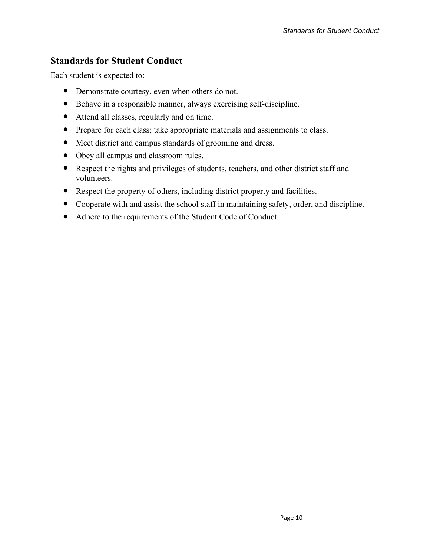# **Standards for Student Conduct**

Each student is expected to:

- Demonstrate courtesy, even when others do not.
- Behave in a responsible manner, always exercising self-discipline.
- Attend all classes, regularly and on time.
- Prepare for each class; take appropriate materials and assignments to class.
- Meet district and campus standards of grooming and dress.
- Obey all campus and classroom rules.
- Respect the rights and privileges of students, teachers, and other district staff and volunteers.
- Respect the property of others, including district property and facilities.
- Cooperate with and assist the school staff in maintaining safety, order, and discipline.
- Adhere to the requirements of the Student Code of Conduct.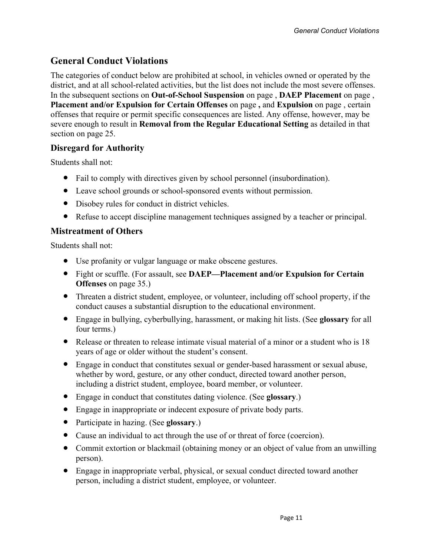# **General Conduct Violations**

The categories of conduct below are prohibited at school, in vehicles owned or operated by the district, and at all school-related activities, but the list does not include the most severe offenses. In the subsequent sections on **Out-of-School Suspension** on page , **DAEP Placement** on page , **Placement and/or Expulsion for Certain Offenses** on page **,** and **Expulsion** on page , certain offenses that require or permit specific consequences are listed. Any offense, however, may be severe enough to result in **Removal from the Regular Educational Setting** as detailed in that section on page 25.

# **Disregard for Authority**

Students shall not:

- Fail to comply with directives given by school personnel (insubordination).
- Leave school grounds or school-sponsored events without permission.
- Disobey rules for conduct in district vehicles.
- Refuse to accept discipline management techniques assigned by a teacher or principal.

# **Mistreatment of Others**

Students shall not:

- Use profanity or vulgar language or make obscene gestures.
- Fight or scuffle. (For assault, see **DAEP—Placement and/or Expulsion for Certain Offenses** on page 35.)
- Threaten a district student, employee, or volunteer, including off school property, if the conduct causes a substantial disruption to the educational environment.
- Engage in bullying, cyberbullying, harassment, or making hit lists. (See **glossary** for all four terms.)
- Release or threaten to release intimate visual material of a minor or a student who is 18 years of age or older without the student's consent.
- Engage in conduct that constitutes sexual or gender-based harassment or sexual abuse, whether by word, gesture, or any other conduct, directed toward another person, including a district student, employee, board member, or volunteer.
- Engage in conduct that constitutes dating violence. (See **glossary**.)
- Engage in inappropriate or indecent exposure of private body parts.
- Participate in hazing. (See **glossary**.)
- Cause an individual to act through the use of or threat of force (coercion).
- Commit extortion or blackmail (obtaining money or an object of value from an unwilling person).
- Engage in inappropriate verbal, physical, or sexual conduct directed toward another person, including a district student, employee, or volunteer.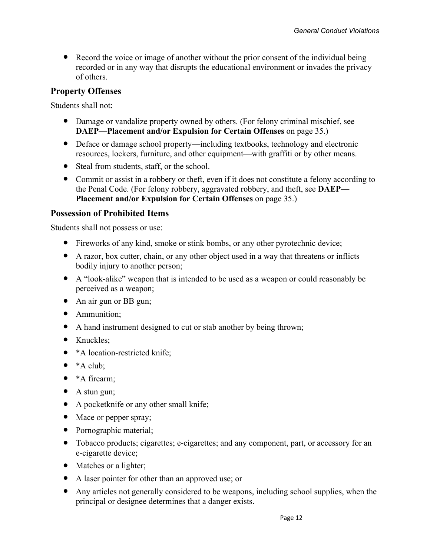• Record the voice or image of another without the prior consent of the individual being recorded or in any way that disrupts the educational environment or invades the privacy of others.

# **Property Offenses**

Students shall not:

- Damage or vandalize property owned by others. (For felony criminal mischief, see **DAEP—Placement and/or Expulsion for Certain Offenses** on page 35.)
- Deface or damage school property—including textbooks, technology and electronic resources, lockers, furniture, and other equipment—with graffiti or by other means.
- Steal from students, staff, or the school.
- Commit or assist in a robbery or theft, even if it does not constitute a felony according to the Penal Code. (For felony robbery, aggravated robbery, and theft, see **DAEP— Placement and/or Expulsion for Certain Offenses** on page 35.)

#### **Possession of Prohibited Items**

Students shall not possess or use:

- Fireworks of any kind, smoke or stink bombs, or any other pyrotechnic device;
- A razor, box cutter, chain, or any other object used in a way that threatens or inflicts bodily injury to another person;
- A "look-alike" weapon that is intended to be used as a weapon or could reasonably be perceived as a weapon;
- An air gun or BB gun;
- Ammunition;
- A hand instrument designed to cut or stab another by being thrown;
- Knuckles:
- \*A location-restricted knife;
- $\bullet$  \*A club;
- \*A firearm;
- A stun gun;
- A pocketknife or any other small knife;
- Mace or pepper spray;
- Pornographic material;
- Tobacco products; cigarettes; e-cigarettes; and any component, part, or accessory for an e-cigarette device;
- Matches or a lighter;
- A laser pointer for other than an approved use; or
- Any articles not generally considered to be weapons, including school supplies, when the principal or designee determines that a danger exists.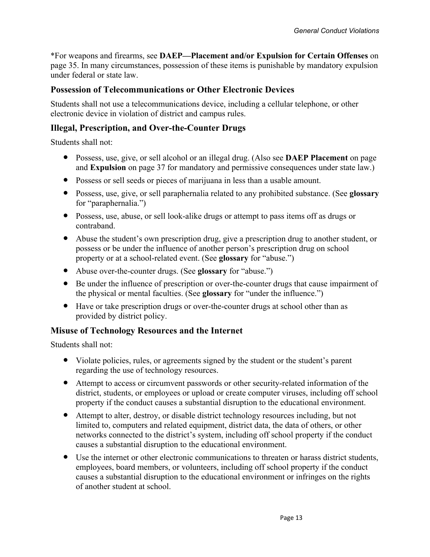\*For weapons and firearms, see **DAEP—Placement and/or Expulsion for Certain Offenses** on page 35. In many circumstances, possession of these items is punishable by mandatory expulsion under federal or state law.

# **Possession of Telecommunications or Other Electronic Devices**

Students shall not use a telecommunications device, including a cellular telephone, or other electronic device in violation of district and campus rules.

### **Illegal, Prescription, and Over-the-Counter Drugs**

Students shall not:

- Possess, use, give, or sell alcohol or an illegal drug. (Also see **DAEP Placement** on page and **Expulsion** on page 37 for mandatory and permissive consequences under state law.)
- Possess or sell seeds or pieces of marijuana in less than a usable amount.
- Possess, use, give, or sell paraphernalia related to any prohibited substance. (See **glossary** for "paraphernalia.")
- Possess, use, abuse, or sell look-alike drugs or attempt to pass items off as drugs or contraband.
- Abuse the student's own prescription drug, give a prescription drug to another student, or possess or be under the influence of another person's prescription drug on school property or at a school-related event. (See **glossary** for "abuse.")
- Abuse over-the-counter drugs. (See **glossary** for "abuse.")
- Be under the influence of prescription or over-the-counter drugs that cause impairment of the physical or mental faculties. (See **glossary** for "under the influence.")
- Have or take prescription drugs or over-the-counter drugs at school other than as provided by district policy.

# **Misuse of Technology Resources and the Internet**

Students shall not:

- Violate policies, rules, or agreements signed by the student or the student's parent regarding the use of technology resources.
- Attempt to access or circumvent passwords or other security-related information of the district, students, or employees or upload or create computer viruses, including off school property if the conduct causes a substantial disruption to the educational environment.
- Attempt to alter, destroy, or disable district technology resources including, but not limited to, computers and related equipment, district data, the data of others, or other networks connected to the district's system, including off school property if the conduct causes a substantial disruption to the educational environment.
- Use the internet or other electronic communications to threaten or harass district students, employees, board members, or volunteers, including off school property if the conduct causes a substantial disruption to the educational environment or infringes on the rights of another student at school.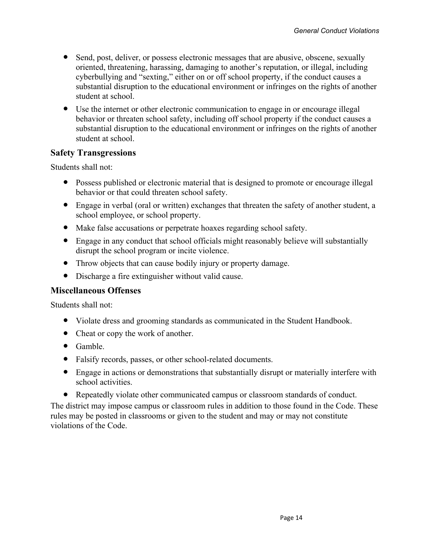- Send, post, deliver, or possess electronic messages that are abusive, obscene, sexually oriented, threatening, harassing, damaging to another's reputation, or illegal, including cyberbullying and "sexting," either on or off school property, if the conduct causes a substantial disruption to the educational environment or infringes on the rights of another student at school.
- Use the internet or other electronic communication to engage in or encourage illegal behavior or threaten school safety, including off school property if the conduct causes a substantial disruption to the educational environment or infringes on the rights of another student at school.

### **Safety Transgressions**

Students shall not:

- Possess published or electronic material that is designed to promote or encourage illegal behavior or that could threaten school safety.
- Engage in verbal (oral or written) exchanges that threaten the safety of another student, a school employee, or school property.
- Make false accusations or perpetrate hoaxes regarding school safety.
- Engage in any conduct that school officials might reasonably believe will substantially disrupt the school program or incite violence.
- Throw objects that can cause bodily injury or property damage.
- Discharge a fire extinguisher without valid cause.

#### **Miscellaneous Offenses**

Students shall not:

- Violate dress and grooming standards as communicated in the Student Handbook.
- Cheat or copy the work of another.
- Gamble.
- Falsify records, passes, or other school-related documents.
- Engage in actions or demonstrations that substantially disrupt or materially interfere with school activities.
- Repeatedly violate other communicated campus or classroom standards of conduct.

The district may impose campus or classroom rules in addition to those found in the Code. These rules may be posted in classrooms or given to the student and may or may not constitute violations of the Code.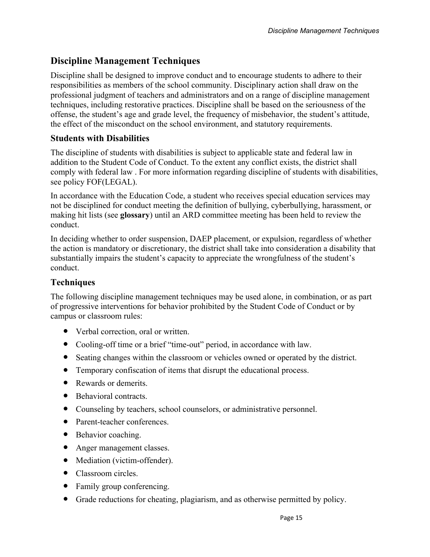# **Discipline Management Techniques**

Discipline shall be designed to improve conduct and to encourage students to adhere to their responsibilities as members of the school community. Disciplinary action shall draw on the professional judgment of teachers and administrators and on a range of discipline management techniques, including restorative practices. Discipline shall be based on the seriousness of the offense, the student's age and grade level, the frequency of misbehavior, the student's attitude, the effect of the misconduct on the school environment, and statutory requirements.

# **Students with Disabilities**

The discipline of students with disabilities is subject to applicable state and federal law in addition to the Student Code of Conduct. To the extent any conflict exists, the district shall comply with federal law . For more information regarding discipline of students with disabilities, see policy FOF(LEGAL).

In accordance with the Education Code, a student who receives special education services may not be disciplined for conduct meeting the definition of bullying, cyberbullying, harassment, or making hit lists (see **glossary**) until an ARD committee meeting has been held to review the conduct.

In deciding whether to order suspension, DAEP placement, or expulsion, regardless of whether the action is mandatory or discretionary, the district shall take into consideration a disability that substantially impairs the student's capacity to appreciate the wrongfulness of the student's conduct.

# **Techniques**

The following discipline management techniques may be used alone, in combination, or as part of progressive interventions for behavior prohibited by the Student Code of Conduct or by campus or classroom rules:

- Verbal correction, oral or written.
- Cooling-off time or a brief "time-out" period, in accordance with law.
- Seating changes within the classroom or vehicles owned or operated by the district.
- Temporary confiscation of items that disrupt the educational process.
- Rewards or demerits.
- Behavioral contracts.
- Counseling by teachers, school counselors, or administrative personnel.
- Parent-teacher conferences.
- Behavior coaching.
- Anger management classes.
- Mediation (victim-offender).
- Classroom circles
- Family group conferencing.
- Grade reductions for cheating, plagiarism, and as otherwise permitted by policy.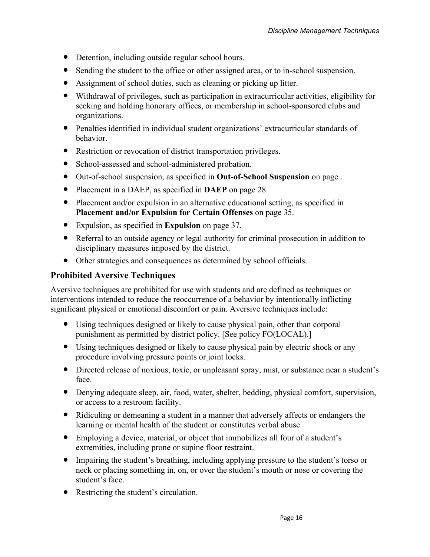- Detention, including outside regular school hours.
- Sending the student to the office or other assigned area, or to in-school suspension.
- Assignment of school duties, such as cleaning or picking up litter.
- Withdrawal of privileges, such as participation in extracurricular activities, eligibility for seeking and holding honorary offices, or membership in school-sponsored clubs and organizations.
- Penalties identified in individual student organizations' extracurricular standards of behavior.
- Restriction or revocation of district transportation privileges.
- School-assessed and school-administered probation.
- Out-of-school suspension, as specified in **Out-of-School Suspension** on page .
- Placement in a DAEP, as specified in **DAEP** on page 28.
- Placement and/or expulsion in an alternative educational setting, as specified in **Placement and/or Expulsion for Certain Offenses** on page 35.
- Expulsion, as specified in **Expulsion** on page 37.
- Referral to an outside agency or legal authority for criminal prosecution in addition to disciplinary measures imposed by the district.
- Other strategies and consequences as determined by school officials.

# **Prohibited Aversive Techniques**

Aversive techniques are prohibited for use with students and are defined as techniques or interventions intended to reduce the reoccurrence of a behavior by intentionally inflicting significant physical or emotional discomfort or pain. Aversive techniques include:

- Using techniques designed or likely to cause physical pain, other than corporal punishment as permitted by district policy. [See policy FO(LOCAL).]
- Using techniques designed or likely to cause physical pain by electric shock or any procedure involving pressure points or joint locks.
- Directed release of noxious, toxic, or unpleasant spray, mist, or substance near a student's face.
- Denying adequate sleep, air, food, water, shelter, bedding, physical comfort, supervision, or access to a restroom facility.
- Ridiculing or demeaning a student in a manner that adversely affects or endangers the learning or mental health of the student or constitutes verbal abuse.
- Employing a device, material, or object that immobilizes all four of a student's extremities, including prone or supine floor restraint.
- Impairing the student's breathing, including applying pressure to the student's torso or neck or placing something in, on, or over the student's mouth or nose or covering the student's face.
- Restricting the student's circulation.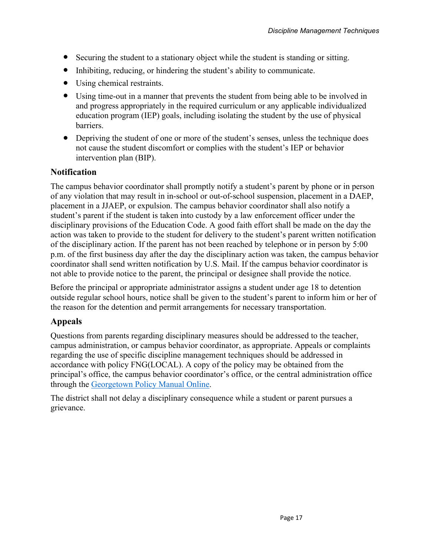- Securing the student to a stationary object while the student is standing or sitting.
- Inhibiting, reducing, or hindering the student's ability to communicate.
- Using chemical restraints.
- Using time-out in a manner that prevents the student from being able to be involved in and progress appropriately in the required curriculum or any applicable individualized education program (IEP) goals, including isolating the student by the use of physical barriers.
- Depriving the student of one or more of the student's senses, unless the technique does not cause the student discomfort or complies with the student's IEP or behavior intervention plan (BIP).

### **Notification**

The campus behavior coordinator shall promptly notify a student's parent by phone or in person of any violation that may result in in-school or out-of-school suspension, placement in a DAEP, placement in a JJAEP, or expulsion. The campus behavior coordinator shall also notify a student's parent if the student is taken into custody by a law enforcement officer under the disciplinary provisions of the Education Code. A good faith effort shall be made on the day the action was taken to provide to the student for delivery to the student's parent written notification of the disciplinary action. If the parent has not been reached by telephone or in person by 5:00 p.m. of the first business day after the day the disciplinary action was taken, the campus behavior coordinator shall send written notification by U.S. Mail. If the campus behavior coordinator is not able to provide notice to the parent, the principal or designee shall provide the notice.

Before the principal or appropriate administrator assigns a student under age 18 to detention outside regular school hours, notice shall be given to the student's parent to inform him or her of the reason for the detention and permit arrangements for necessary transportation.

# **Appeals**

Questions from parents regarding disciplinary measures should be addressed to the teacher, campus administration, or campus behavior coordinator, as appropriate. Appeals or complaints regarding the use of specific discipline management techniques should be addressed in accordance with policy FNG(LOCAL). A copy of the policy may be obtained from the principal's office, the campus behavior coordinator's office, or the central administration office through the <u>[Georgetown Policy Manual Online](https://pol.tasb.org/home/index/1240)</u>.<br>The district shall not delay a disciplinary consequence while a student or parent pursues a

grievance.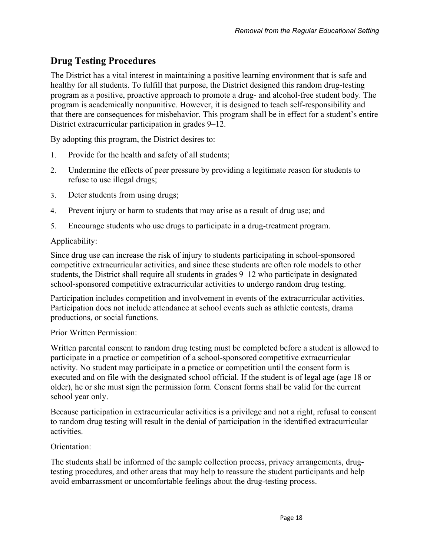# **Drug Testing Procedures**

The District has a vital interest in maintaining a positive learning environment that is safe and healthy for all students. To fulfill that purpose, the District designed this random drug-testing program as a positive, proactive approach to promote a drug- and alcohol-free student body. The program is academically nonpunitive. However, it is designed to teach self-responsibility and that there are consequences for misbehavior. This program shall be in effect for a student's entire District extracurricular participation in grades 9–12.

By adopting this program, the District desires to:

- 1. Provide for the health and safety of all students;
- 2. Undermine the effects of peer pressure by providing a legitimate reason for students to refuse to use illegal drugs;
- 3. Deter students from using drugs;
- 4. Prevent injury or harm to students that may arise as a result of drug use; and
- 5. Encourage students who use drugs to participate in a drug-treatment program.

#### Applicability:

Since drug use can increase the risk of injury to students participating in school-sponsored competitive extracurricular activities, and since these students are often role models to other students, the District shall require all students in grades 9–12 who participate in designated school-sponsored competitive extracurricular activities to undergo random drug testing.

Participation includes competition and involvement in events of the extracurricular activities. Participation does not include attendance at school events such as athletic contests, drama productions, or social functions.

Prior Written Permission:

Written parental consent to random drug testing must be completed before a student is allowed to participate in a practice or competition of a school-sponsored competitive extracurricular activity. No student may participate in a practice or competition until the consent form is executed and on file with the designated school official. If the student is of legal age (age 18 or older), he or she must sign the permission form. Consent forms shall be valid for the current school year only.

Because participation in extracurricular activities is a privilege and not a right, refusal to consent to random drug testing will result in the denial of participation in the identified extracurricular activities.

#### Orientation:

The students shall be informed of the sample collection process, privacy arrangements, drugtesting procedures, and other areas that may help to reassure the student participants and help avoid embarrassment or uncomfortable feelings about the drug-testing process.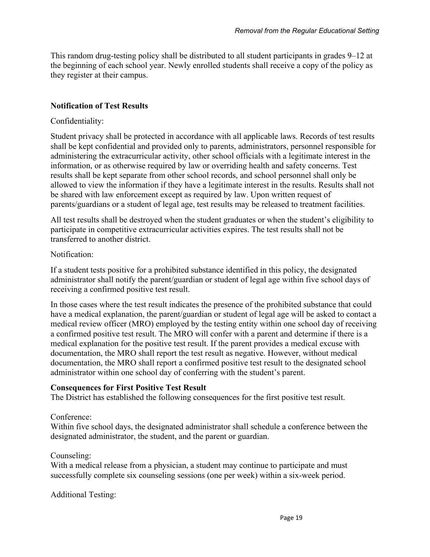This random drug-testing policy shall be distributed to all student participants in grades 9–12 at the beginning of each school year. Newly enrolled students shall receive a copy of the policy as they register at their campus.

### **Notification of Test Results**

#### Confidentiality:

Student privacy shall be protected in accordance with all applicable laws. Records of test results shall be kept confidential and provided only to parents, administrators, personnel responsible for administering the extracurricular activity, other school officials with a legitimate interest in the information, or as otherwise required by law or overriding health and safety concerns. Test results shall be kept separate from other school records, and school personnel shall only be allowed to view the information if they have a legitimate interest in the results. Results shall not be shared with law enforcement except as required by law. Upon written request of parents/guardians or a student of legal age, test results may be released to treatment facilities.

All test results shall be destroyed when the student graduates or when the student's eligibility to participate in competitive extracurricular activities expires. The test results shall not be transferred to another district.

#### Notification:

If a student tests positive for a prohibited substance identified in this policy, the designated administrator shall notify the parent/guardian or student of legal age within five school days of receiving a confirmed positive test result.

In those cases where the test result indicates the presence of the prohibited substance that could have a medical explanation, the parent/guardian or student of legal age will be asked to contact a medical review officer (MRO) employed by the testing entity within one school day of receiving a confirmed positive test result. The MRO will confer with a parent and determine if there is a medical explanation for the positive test result. If the parent provides a medical excuse with documentation, the MRO shall report the test result as negative. However, without medical documentation, the MRO shall report a confirmed positive test result to the designated school administrator within one school day of conferring with the student's parent.

#### **Consequences for First Positive Test Result**

The District has established the following consequences for the first positive test result.

#### Conference:

Within five school days, the designated administrator shall schedule a conference between the designated administrator, the student, and the parent or guardian.

#### Counseling:

With a medical release from a physician, a student may continue to participate and must successfully complete six counseling sessions (one per week) within a six-week period.

Additional Testing: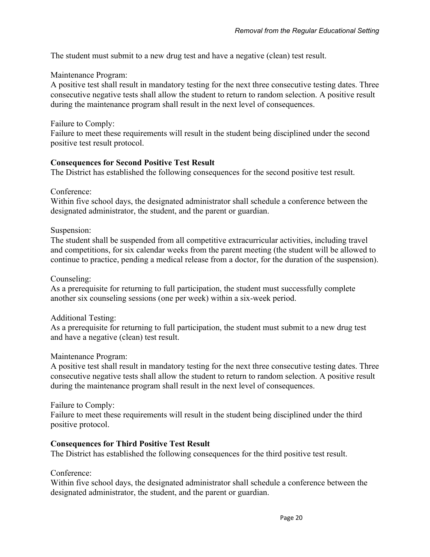The student must submit to a new drug test and have a negative (clean) test result.

#### Maintenance Program:

A positive test shall result in mandatory testing for the next three consecutive testing dates. Three consecutive negative tests shall allow the student to return to random selection. A positive result during the maintenance program shall result in the next level of consequences.

#### Failure to Comply:

Failure to meet these requirements will result in the student being disciplined under the second positive test result protocol.

#### **Consequences for Second Positive Test Result**

The District has established the following consequences for the second positive test result.

Conference:

Within five school days, the designated administrator shall schedule a conference between the designated administrator, the student, and the parent or guardian.

#### Suspension:

The student shall be suspended from all competitive extracurricular activities, including travel and competitions, for six calendar weeks from the parent meeting (the student will be allowed to continue to practice, pending a medical release from a doctor, for the duration of the suspension).

#### Counseling:

As a prerequisite for returning to full participation, the student must successfully complete another six counseling sessions (one per week) within a six-week period.

#### Additional Testing:

As a prerequisite for returning to full participation, the student must submit to a new drug test and have a negative (clean) test result.

#### Maintenance Program:

A positive test shall result in mandatory testing for the next three consecutive testing dates. Three consecutive negative tests shall allow the student to return to random selection. A positive result during the maintenance program shall result in the next level of consequences.

#### Failure to Comply:

Failure to meet these requirements will result in the student being disciplined under the third positive protocol.

#### **Consequences for Third Positive Test Result**

The District has established the following consequences for the third positive test result.

#### Conference:

Within five school days, the designated administrator shall schedule a conference between the designated administrator, the student, and the parent or guardian.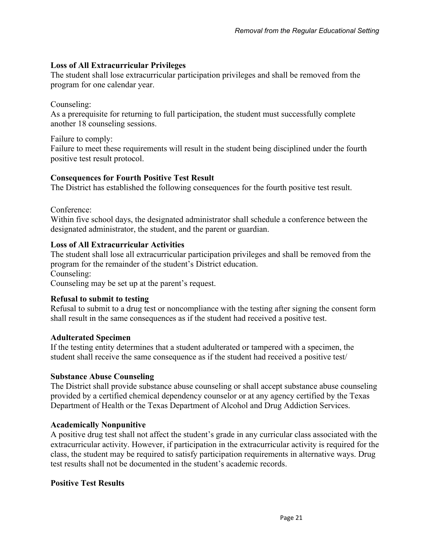### **Loss of All Extracurricular Privileges**

The student shall lose extracurricular participation privileges and shall be removed from the program for one calendar year.

### Counseling:

As a prerequisite for returning to full participation, the student must successfully complete another 18 counseling sessions.

Failure to comply:

Failure to meet these requirements will result in the student being disciplined under the fourth positive test result protocol.

### **Consequences for Fourth Positive Test Result**

The District has established the following consequences for the fourth positive test result.

Conference:

Within five school days, the designated administrator shall schedule a conference between the designated administrator, the student, and the parent or guardian.

#### **Loss of All Extracurricular Activities**

The student shall lose all extracurricular participation privileges and shall be removed from the program for the remainder of the student's District education. Counseling:

Counseling may be set up at the parent's request.

#### **Refusal to submit to testing**

Refusal to submit to a drug test or noncompliance with the testing after signing the consent form shall result in the same consequences as if the student had received a positive test.

#### **Adulterated Specimen**

If the testing entity determines that a student adulterated or tampered with a specimen, the student shall receive the same consequence as if the student had received a positive test/

#### **Substance Abuse Counseling**

The District shall provide substance abuse counseling or shall accept substance abuse counseling provided by a certified chemical dependency counselor or at any agency certified by the Texas Department of Health or the Texas Department of Alcohol and Drug Addiction Services.

#### **Academically Nonpunitive**

A positive drug test shall not affect the student's grade in any curricular class associated with the extracurricular activity. However, if participation in the extracurricular activity is required for the class, the student may be required to satisfy participation requirements in alternative ways. Drug test results shall not be documented in the student's academic records.

# **Positive Test Results**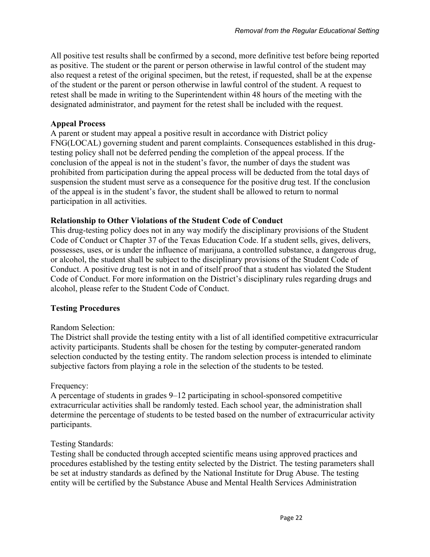All positive test results shall be confirmed by a second, more definitive test before being reported as positive. The student or the parent or person otherwise in lawful control of the student may also request a retest of the original specimen, but the retest, if requested, shall be at the expense of the student or the parent or person otherwise in lawful control of the student. A request to retest shall be made in writing to the Superintendent within 48 hours of the meeting with the designated administrator, and payment for the retest shall be included with the request.

#### **Appeal Process**

A parent or student may appeal a positive result in accordance with District policy FNG(LOCAL) governing student and parent complaints. Consequences established in this drugtesting policy shall not be deferred pending the completion of the appeal process. If the conclusion of the appeal is not in the student's favor, the number of days the student was prohibited from participation during the appeal process will be deducted from the total days of suspension the student must serve as a consequence for the positive drug test. If the conclusion of the appeal is in the student's favor, the student shall be allowed to return to normal participation in all activities.

#### **Relationship to Other Violations of the Student Code of Conduct**

This drug-testing policy does not in any way modify the disciplinary provisions of the Student Code of Conduct or Chapter 37 of the Texas Education Code. If a student sells, gives, delivers, possesses, uses, or is under the influence of marijuana, a controlled substance, a dangerous drug, or alcohol, the student shall be subject to the disciplinary provisions of the Student Code of Conduct. A positive drug test is not in and of itself proof that a student has violated the Student Code of Conduct. For more information on the District's disciplinary rules regarding drugs and alcohol, please refer to the Student Code of Conduct.

#### **Testing Procedures**

#### Random Selection:

The District shall provide the testing entity with a list of all identified competitive extracurricular activity participants. Students shall be chosen for the testing by computer-generated random selection conducted by the testing entity. The random selection process is intended to eliminate subjective factors from playing a role in the selection of the students to be tested.

#### Frequency:

A percentage of students in grades 9–12 participating in school-sponsored competitive extracurricular activities shall be randomly tested. Each school year, the administration shall determine the percentage of students to be tested based on the number of extracurricular activity participants.

#### Testing Standards:

Testing shall be conducted through accepted scientific means using approved practices and procedures established by the testing entity selected by the District. The testing parameters shall be set at industry standards as defined by the National Institute for Drug Abuse. The testing entity will be certified by the Substance Abuse and Mental Health Services Administration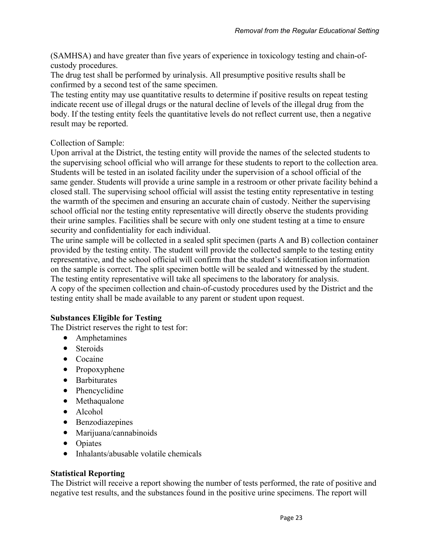(SAMHSA) and have greater than five years of experience in toxicology testing and chain-ofcustody procedures.

The drug test shall be performed by urinalysis. All presumptive positive results shall be confirmed by a second test of the same specimen.

The testing entity may use quantitative results to determine if positive results on repeat testing indicate recent use of illegal drugs or the natural decline of levels of the illegal drug from the body. If the testing entity feels the quantitative levels do not reflect current use, then a negative result may be reported.

### Collection of Sample:

Upon arrival at the District, the testing entity will provide the names of the selected students to the supervising school official who will arrange for these students to report to the collection area. Students will be tested in an isolated facility under the supervision of a school official of the same gender. Students will provide a urine sample in a restroom or other private facility behind a closed stall. The supervising school official will assist the testing entity representative in testing the warmth of the specimen and ensuring an accurate chain of custody. Neither the supervising school official nor the testing entity representative will directly observe the students providing their urine samples. Facilities shall be secure with only one student testing at a time to ensure security and confidentiality for each individual.

The urine sample will be collected in a sealed split specimen (parts A and B) collection container provided by the testing entity. The student will provide the collected sample to the testing entity representative, and the school official will confirm that the student's identification information on the sample is correct. The split specimen bottle will be sealed and witnessed by the student. The testing entity representative will take all specimens to the laboratory for analysis. A copy of the specimen collection and chain-of-custody procedures used by the District and the testing entity shall be made available to any parent or student upon request.

# **Substances Eligible for Testing**

The District reserves the right to test for:

- Amphetamines
- Steroids
- Cocaine
- Propoxyphene
- Barbiturates
- Phencyclidine
- Methaqualone
- Alcohol
- Benzodiazepines
- Marijuana/cannabinoids
- Opiates
- Inhalants/abusable volatile chemicals

#### **Statistical Reporting**

The District will receive a report showing the number of tests performed, the rate of positive and negative test results, and the substances found in the positive urine specimens. The report will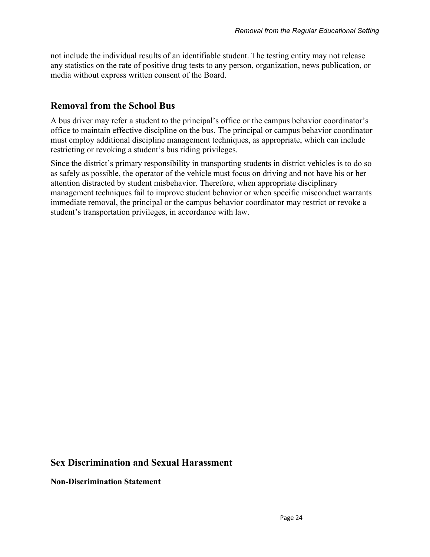not include the individual results of an identifiable student. The testing entity may not release any statistics on the rate of positive drug tests to any person, organization, news publication, or media without express written consent of the Board.

# **Removal from the School Bus**

A bus driver may refer a student to the principal's office or the campus behavior coordinator's office to maintain effective discipline on the bus. The principal or campus behavior coordinator must employ additional discipline management techniques, as appropriate, which can include restricting or revoking a student's bus riding privileges.

Since the district's primary responsibility in transporting students in district vehicles is to do so as safely as possible, the operator of the vehicle must focus on driving and not have his or her attention distracted by student misbehavior. Therefore, when appropriate disciplinary management techniques fail to improve student behavior or when specific misconduct warrants immediate removal, the principal or the campus behavior coordinator may restrict or revoke a student's transportation privileges, in accordance with law.

# **Sex Discrimination and Sexual Harassment**

**Non-Discrimination Statement**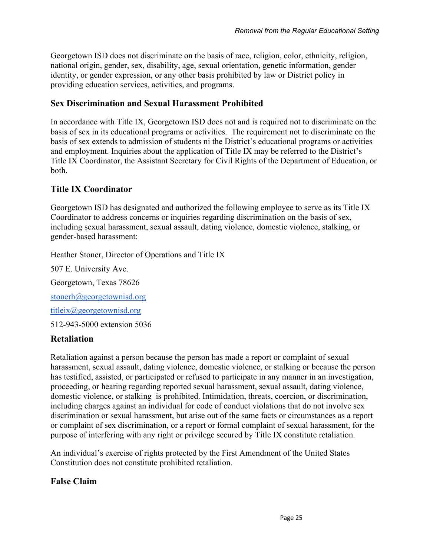Georgetown ISD does not discriminate on the basis of race, religion, color, ethnicity, religion, national origin, gender, sex, disability, age, sexual orientation, genetic information, gender identity, or gender expression, or any other basis prohibited by law or District policy in providing education services, activities, and programs.

### **Sex Discrimination and Sexual Harassment Prohibited**

In accordance with Title IX, Georgetown ISD does not and is required not to discriminate on the basis of sex in its educational programs or activities. The requirement not to discriminate on the basis of sex extends to admission of students ni the District's educational programs or activities and employment. Inquiries about the application of Title IX may be referred to the District's Title IX Coordinator, the Assistant Secretary for Civil Rights of the Department of Education, or both.

# **Title IX Coordinator**

Georgetown ISD has designated and authorized the following employee to serve as its Title IX Coordinator to address concerns or inquiries regarding discrimination on the basis of sex, including sexual harassment, sexual assault, dating violence, domestic violence, stalking, or gender-based harassment:

Heather Stoner, Director of Operations and Title IX

507 E. University Ave. Georgetown, Texas 78626 [stonerh@georgetownisd.org](mailto:stonerh@georgetownisd.org) [titleix@georgetownisd.org](mailto:titleix@georgetownisd.org)

512-943-5000 extension 5036

# **Retaliation**

Retaliation against a person because the person has made a report or complaint of sexual harassment, sexual assault, dating violence, domestic violence, or stalking or because the person has testified, assisted, or participated or refused to participate in any manner in an investigation, proceeding, or hearing regarding reported sexual harassment, sexual assault, dating violence, domestic violence, or stalking is prohibited. Intimidation, threats, coercion, or discrimination, including charges against an individual for code of conduct violations that do not involve sex discrimination or sexual harassment, but arise out of the same facts or circumstances as a report or complaint of sex discrimination, or a report or formal complaint of sexual harassment, for the purpose of interfering with any right or privilege secured by Title IX constitute retaliation.

An individual's exercise of rights protected by the First Amendment of the United States Constitution does not constitute prohibited retaliation.

# **False Claim**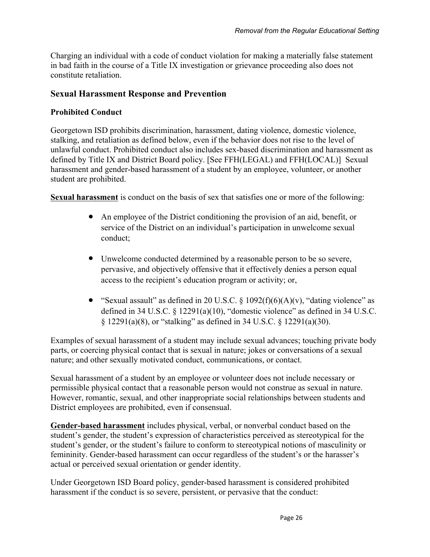Charging an individual with a code of conduct violation for making a materially false statement in bad faith in the course of a Title IX investigation or grievance proceeding also does not constitute retaliation.

#### **Sexual Harassment Response and Prevention**

#### **Prohibited Conduct**

Georgetown ISD prohibits discrimination, harassment, dating violence, domestic violence, stalking, and retaliation as defined below, even if the behavior does not rise to the level of unlawful conduct. Prohibited conduct also includes sex-based discrimination and harassment as defined by Title IX and District Board policy. [See FFH(LEGAL) and FFH(LOCAL)] Sexual harassment and gender-based harassment of a student by an employee, volunteer, or another student are prohibited.

**Sexual harassment** is conduct on the basis of sex that satisfies one or more of the following:

- An employee of the District conditioning the provision of an aid, benefit, or service of the District on an individual's participation in unwelcome sexual conduct;
- Unwelcome conducted determined by a reasonable person to be so severe, pervasive, and objectively offensive that it effectively denies a person equal access to the recipient's education program or activity; or,
- "Sexual assault" as defined in 20 U.S.C. § 1092(f)(6)(A)(v), "dating violence" as defined in 34 U.S.C.  $\S$  12291(a)(10), "domestic violence" as defined in 34 U.S.C. § 12291(a)(8), or "stalking" as defined in 34 U.S.C. § 12291(a)(30).

Examples of sexual harassment of a student may include sexual advances; touching private body parts, or coercing physical contact that is sexual in nature; jokes or conversations of a sexual nature; and other sexually motivated conduct, communications, or contact.

Sexual harassment of a student by an employee or volunteer does not include necessary or permissible physical contact that a reasonable person would not construe as sexual in nature. However, romantic, sexual, and other inappropriate social relationships between students and District employees are prohibited, even if consensual.

**Gender-based harassment** includes physical, verbal, or nonverbal conduct based on the student's gender, the student's expression of characteristics perceived as stereotypical for the student's gender, or the student's failure to conform to stereotypical notions of masculinity or femininity. Gender-based harassment can occur regardless of the student's or the harasser's actual or perceived sexual orientation or gender identity.

Under Georgetown ISD Board policy, gender-based harassment is considered prohibited harassment if the conduct is so severe, persistent, or pervasive that the conduct: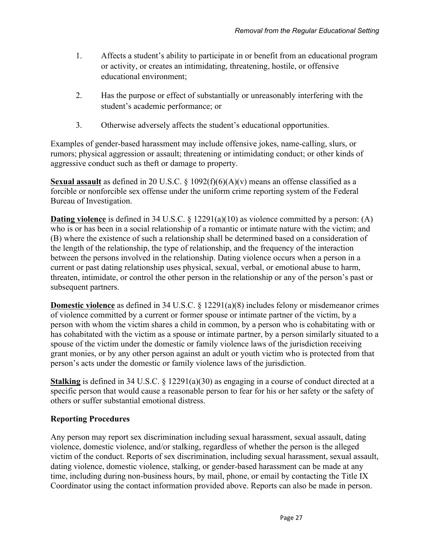- 1. Affects a student's ability to participate in or benefit from an educational program or activity, or creates an intimidating, threatening, hostile, or offensive educational environment;
- 2. Has the purpose or effect of substantially or unreasonably interfering with the student's academic performance; or
- 3. Otherwise adversely affects the student's educational opportunities.

Examples of gender-based harassment may include offensive jokes, name-calling, slurs, or rumors; physical aggression or assault; threatening or intimidating conduct; or other kinds of aggressive conduct such as theft or damage to property.

**Sexual assault** as defined in 20 U.S.C. § 1092(f)(6)(A)(v) means an offense classified as a forcible or nonforcible sex offense under the uniform crime reporting system of the Federal Bureau of Investigation.

**Dating violence** is defined in 34 U.S.C. § 12291(a)(10) as violence committed by a person: (A) who is or has been in a social relationship of a romantic or intimate nature with the victim; and (B) where the existence of such a relationship shall be determined based on a consideration of the length of the relationship, the type of relationship, and the frequency of the interaction between the persons involved in the relationship. Dating violence occurs when a person in a current or past dating relationship uses physical, sexual, verbal, or emotional abuse to harm, threaten, intimidate, or control the other person in the relationship or any of the person's past or subsequent partners.

**Domestic violence** as defined in 34 U.S.C. § 12291(a)(8) includes felony or misdemeanor crimes of violence committed by a current or former spouse or intimate partner of the victim, by a person with whom the victim shares a child in common, by a person who is cohabitating with or has cohabitated with the victim as a spouse or intimate partner, by a person similarly situated to a spouse of the victim under the domestic or family violence laws of the jurisdiction receiving grant monies, or by any other person against an adult or youth victim who is protected from that person's acts under the domestic or family violence laws of the jurisdiction.

**Stalking** is defined in 34 U.S.C. § 12291(a)(30) as engaging in a course of conduct directed at a specific person that would cause a reasonable person to fear for his or her safety or the safety of others or suffer substantial emotional distress.

# **Reporting Procedures**

Any person may report sex discrimination including sexual harassment, sexual assault, dating violence, domestic violence, and/or stalking, regardless of whether the person is the alleged victim of the conduct. Reports of sex discrimination, including sexual harassment, sexual assault, dating violence, domestic violence, stalking, or gender-based harassment can be made at any time, including during non-business hours, by mail, phone, or email by contacting the Title IX Coordinator using the contact information provided above. Reports can also be made in person.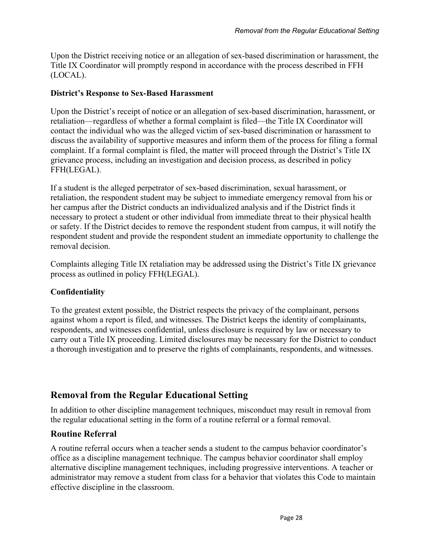Upon the District receiving notice or an allegation of sex-based discrimination or harassment, the Title IX Coordinator will promptly respond in accordance with the process described in FFH (LOCAL).

#### **District's Response to Sex-Based Harassment**

Upon the District's receipt of notice or an allegation of sex-based discrimination, harassment, or retaliation—regardless of whether a formal complaint is filed—the Title IX Coordinator will contact the individual who was the alleged victim of sex-based discrimination or harassment to discuss the availability of supportive measures and inform them of the process for filing a formal complaint. If a formal complaint is filed, the matter will proceed through the District's Title IX grievance process, including an investigation and decision process, as described in policy FFH(LEGAL).

If a student is the alleged perpetrator of sex-based discrimination, sexual harassment, or retaliation, the respondent student may be subject to immediate emergency removal from his or her campus after the District conducts an individualized analysis and if the District finds it necessary to protect a student or other individual from immediate threat to their physical health or safety. If the District decides to remove the respondent student from campus, it will notify the respondent student and provide the respondent student an immediate opportunity to challenge the removal decision.

Complaints alleging Title IX retaliation may be addressed using the District's Title IX grievance process as outlined in policy FFH(LEGAL).

#### **Confidentiality**

To the greatest extent possible, the District respects the privacy of the complainant, persons against whom a report is filed, and witnesses. The District keeps the identity of complainants, respondents, and witnesses confidential, unless disclosure is required by law or necessary to carry out a Title IX proceeding. Limited disclosures may be necessary for the District to conduct a thorough investigation and to preserve the rights of complainants, respondents, and witnesses.

# **Removal from the Regular Educational Setting**

In addition to other discipline management techniques, misconduct may result in removal from the regular educational setting in the form of a routine referral or a formal removal.

### **Routine Referral**

A routine referral occurs when a teacher sends a student to the campus behavior coordinator's office as a discipline management technique. The campus behavior coordinator shall employ alternative discipline management techniques, including progressive interventions. A teacher or administrator may remove a student from class for a behavior that violates this Code to maintain effective discipline in the classroom.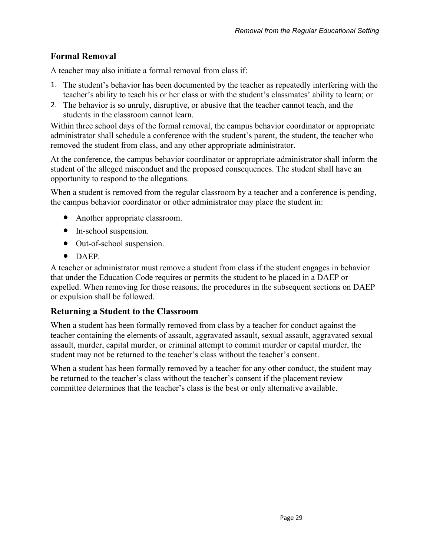# **Formal Removal**

A teacher may also initiate a formal removal from class if:

- 1. The student's behavior has been documented by the teacher as repeatedly interfering with the teacher's ability to teach his or her class or with the student's classmates' ability to learn; or
- 2. The behavior is so unruly, disruptive, or abusive that the teacher cannot teach, and the students in the classroom cannot learn.

Within three school days of the formal removal, the campus behavior coordinator or appropriate administrator shall schedule a conference with the student's parent, the student, the teacher who removed the student from class, and any other appropriate administrator.

At the conference, the campus behavior coordinator or appropriate administrator shall inform the student of the alleged misconduct and the proposed consequences. The student shall have an opportunity to respond to the allegations.

When a student is removed from the regular classroom by a teacher and a conference is pending, the campus behavior coordinator or other administrator may place the student in:

- Another appropriate classroom.
- In-school suspension.
- Out-of-school suspension.
- DAEP.

A teacher or administrator must remove a student from class if the student engages in behavior that under the Education Code requires or permits the student to be placed in a DAEP or expelled. When removing for those reasons, the procedures in the subsequent sections on DAEP or expulsion shall be followed.

# **Returning a Student to the Classroom**

When a student has been formally removed from class by a teacher for conduct against the teacher containing the elements of assault, aggravated assault, sexual assault, aggravated sexual assault, murder, capital murder, or criminal attempt to commit murder or capital murder, the student may not be returned to the teacher's class without the teacher's consent.

When a student has been formally removed by a teacher for any other conduct, the student may be returned to the teacher's class without the teacher's consent if the placement review committee determines that the teacher's class is the best or only alternative available.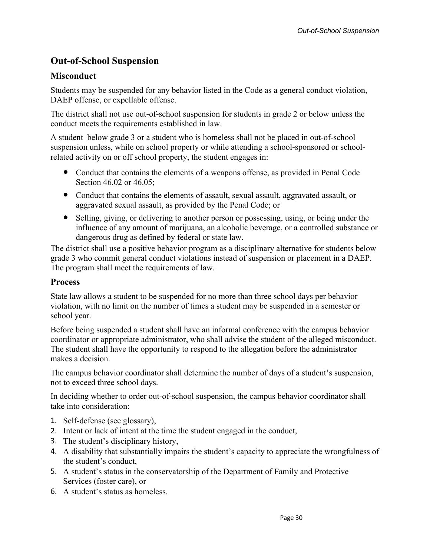# **Out-of-School Suspension**

# **Misconduct**

Students may be suspended for any behavior listed in the Code as a general conduct violation, DAEP offense, or expellable offense.

The district shall not use out-of-school suspension for students in grade 2 or below unless the conduct meets the requirements established in law.

A student below grade 3 or a student who is homeless shall not be placed in out-of-school suspension unless, while on school property or while attending a school-sponsored or schoolrelated activity on or off school property, the student engages in:

- Conduct that contains the elements of a weapons offense, as provided in Penal Code Section 46.02 or 46.05;
- Conduct that contains the elements of assault, sexual assault, aggravated assault, or aggravated sexual assault, as provided by the Penal Code; or
- Selling, giving, or delivering to another person or possessing, using, or being under the influence of any amount of marijuana, an alcoholic beverage, or a controlled substance or dangerous drug as defined by federal or state law.

The district shall use a positive behavior program as a disciplinary alternative for students below grade 3 who commit general conduct violations instead of suspension or placement in a DAEP. The program shall meet the requirements of law.

# **Process**

State law allows a student to be suspended for no more than three school days per behavior violation, with no limit on the number of times a student may be suspended in a semester or school year.

Before being suspended a student shall have an informal conference with the campus behavior coordinator or appropriate administrator, who shall advise the student of the alleged misconduct. The student shall have the opportunity to respond to the allegation before the administrator makes a decision.

The campus behavior coordinator shall determine the number of days of a student's suspension, not to exceed three school days.

In deciding whether to order out-of-school suspension, the campus behavior coordinator shall take into consideration:

- 1. Self-defense (see glossary),
- 2. Intent or lack of intent at the time the student engaged in the conduct,
- 3. The student's disciplinary history,
- 4. A disability that substantially impairs the student's capacity to appreciate the wrongfulness of the student's conduct,
- 5. A student's status in the conservatorship of the Department of Family and Protective Services (foster care), or
- 6. A student's status as homeless.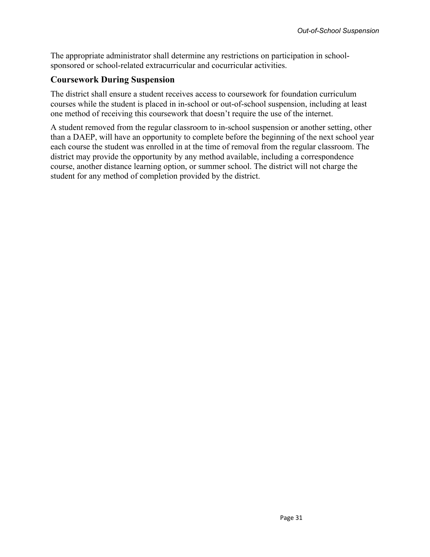The appropriate administrator shall determine any restrictions on participation in schoolsponsored or school-related extracurricular and cocurricular activities.

# **Coursework During Suspension**

The district shall ensure a student receives access to coursework for foundation curriculum courses while the student is placed in in-school or out-of-school suspension, including at least one method of receiving this coursework that doesn't require the use of the internet.

A student removed from the regular classroom to in-school suspension or another setting, other than a DAEP, will have an opportunity to complete before the beginning of the next school year each course the student was enrolled in at the time of removal from the regular classroom. The district may provide the opportunity by any method available, including a correspondence course, another distance learning option, or summer school. The district will not charge the student for any method of completion provided by the district.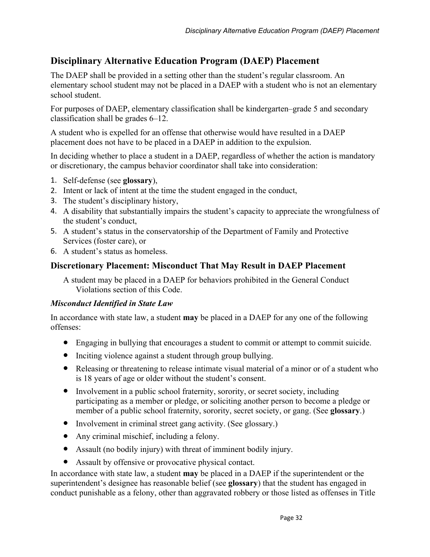# **Disciplinary Alternative Education Program (DAEP) Placement**

The DAEP shall be provided in a setting other than the student's regular classroom. An elementary school student may not be placed in a DAEP with a student who is not an elementary school student.

For purposes of DAEP, elementary classification shall be kindergarten–grade 5 and secondary classification shall be grades 6–12.

A student who is expelled for an offense that otherwise would have resulted in a DAEP placement does not have to be placed in a DAEP in addition to the expulsion.

In deciding whether to place a student in a DAEP, regardless of whether the action is mandatory or discretionary, the campus behavior coordinator shall take into consideration:

- 1. Self-defense (see **glossary**),
- 2. Intent or lack of intent at the time the student engaged in the conduct,
- 3. The student's disciplinary history,
- 4. A disability that substantially impairs the student's capacity to appreciate the wrongfulness of the student's conduct,
- 5. A student's status in the conservatorship of the Department of Family and Protective Services (foster care), or
- 6. A student's status as homeless.

# **Discretionary Placement: Misconduct That May Result in DAEP Placement**

A student may be placed in a DAEP for behaviors prohibited in the General Conduct Violations section of this Code.

#### *Misconduct Identified in State Law*

In accordance with state law, a student **may** be placed in a DAEP for any one of the following offenses:

- Engaging in bullying that encourages a student to commit or attempt to commit suicide.
- Inciting violence against a student through group bullying.
- Releasing or threatening to release intimate visual material of a minor or of a student who is 18 years of age or older without the student's consent.
- Involvement in a public school fraternity, sorority, or secret society, including participating as a member or pledge, or soliciting another person to become a pledge or member of a public school fraternity, sorority, secret society, or gang. (See **glossary**.)
- Involvement in criminal street gang activity. (See glossary.)
- Any criminal mischief, including a felony.
- Assault (no bodily injury) with threat of imminent bodily injury.
- Assault by offensive or provocative physical contact.

In accordance with state law, a student **may** be placed in a DAEP if the superintendent or the superintendent's designee has reasonable belief (see **glossary**) that the student has engaged in conduct punishable as a felony, other than aggravated robbery or those listed as offenses in Title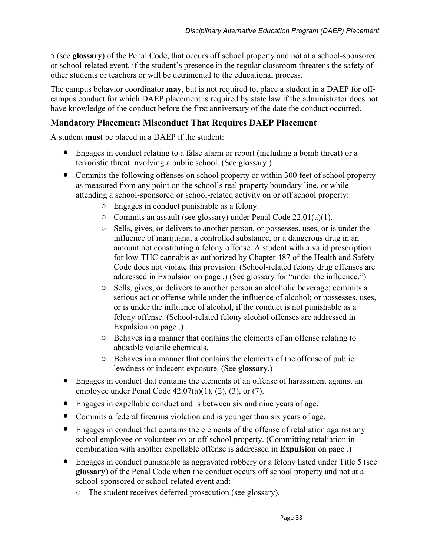5 (see **glossary**) of the Penal Code, that occurs off school property and not at a school-sponsored or school-related event, if the student's presence in the regular classroom threatens the safety of other students or teachers or will be detrimental to the educational process.

The campus behavior coordinator **may**, but is not required to, place a student in a DAEP for offcampus conduct for which DAEP placement is required by state law if the administrator does not have knowledge of the conduct before the first anniversary of the date the conduct occurred.

# **Mandatory Placement: Misconduct That Requires DAEP Placement**

A student **must** be placed in a DAEP if the student:

- Engages in conduct relating to a false alarm or report (including a bomb threat) or a terroristic threat involving a public school. (See glossary.)
- Commits the following offenses on school property or within 300 feet of school property as measured from any point on the school's real property boundary line, or while attending a school-sponsored or school-related activity on or off school property:
	- o Engages in conduct punishable as a felony.
	- o Commits an assault (see glossary) under Penal Code 22.01(a)(1).
	- o Sells, gives, or delivers to another person, or possesses, uses, or is under the influence of marijuana, a controlled substance, or a dangerous drug in an amount not constituting a felony offense. A student with a valid prescription for low-THC cannabis as authorized by Chapter 487 of the Health and Safety Code does not violate this provision. (School-related felony drug offenses are addressed in Expulsion on page .) (See glossary for "under the influence.")
	- o Sells, gives, or delivers to another person an alcoholic beverage; commits a serious act or offense while under the influence of alcohol; or possesses, uses, or is under the influence of alcohol, if the conduct is not punishable as a felony offense. (School-related felony alcohol offenses are addressed in Expulsion on page .)
	- o Behaves in a manner that contains the elements of an offense relating to abusable volatile chemicals.
	- o Behaves in a manner that contains the elements of the offense of public lewdness or indecent exposure. (See **glossary**.)
- Engages in conduct that contains the elements of an offense of harassment against an employee under Penal Code  $42.07(a)(1)$ ,  $(2)$ ,  $(3)$ , or  $(7)$ .
- Engages in expellable conduct and is between six and nine years of age.
- Commits a federal firearms violation and is younger than six years of age.
- Engages in conduct that contains the elements of the offense of retaliation against any school employee or volunteer on or off school property. (Committing retaliation in combination with another expellable offense is addressed in **Expulsion** on page .)
- Engages in conduct punishable as aggravated robbery or a felony listed under Title 5 (see **glossary**) of the Penal Code when the conduct occurs off school property and not at a school-sponsored or school-related event and:
	- o The student receives deferred prosecution (see glossary),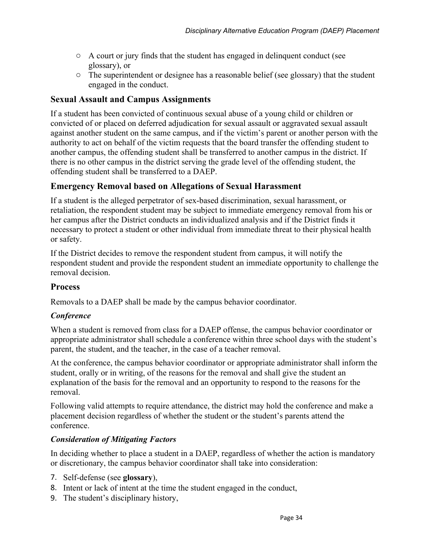- $\circ$  A court or jury finds that the student has engaged in delinquent conduct (see glossary), or
- o The superintendent or designee has a reasonable belief (see glossary) that the student engaged in the conduct.

### **Sexual Assault and Campus Assignments**

If a student has been convicted of continuous sexual abuse of a young child or children or convicted of or placed on deferred adjudication for sexual assault or aggravated sexual assault against another student on the same campus, and if the victim's parent or another person with the authority to act on behalf of the victim requests that the board transfer the offending student to another campus, the offending student shall be transferred to another campus in the district. If there is no other campus in the district serving the grade level of the offending student, the offending student shall be transferred to a DAEP.

### **Emergency Removal based on Allegations of Sexual Harassment**

If a student is the alleged perpetrator of sex-based discrimination, sexual harassment, or retaliation, the respondent student may be subject to immediate emergency removal from his or her campus after the District conducts an individualized analysis and if the District finds it necessary to protect a student or other individual from immediate threat to their physical health or safety.

If the District decides to remove the respondent student from campus, it will notify the respondent student and provide the respondent student an immediate opportunity to challenge the removal decision.

#### **Process**

Removals to a DAEP shall be made by the campus behavior coordinator.

#### *Conference*

When a student is removed from class for a DAEP offense, the campus behavior coordinator or appropriate administrator shall schedule a conference within three school days with the student's parent, the student, and the teacher, in the case of a teacher removal.

At the conference, the campus behavior coordinator or appropriate administrator shall inform the student, orally or in writing, of the reasons for the removal and shall give the student an explanation of the basis for the removal and an opportunity to respond to the reasons for the removal.

Following valid attempts to require attendance, the district may hold the conference and make a placement decision regardless of whether the student or the student's parents attend the conference.

#### *Consideration of Mitigating Factors*

In deciding whether to place a student in a DAEP, regardless of whether the action is mandatory or discretionary, the campus behavior coordinator shall take into consideration:

- 7. Self-defense (see **glossary**),
- 8. Intent or lack of intent at the time the student engaged in the conduct,
- 9. The student's disciplinary history,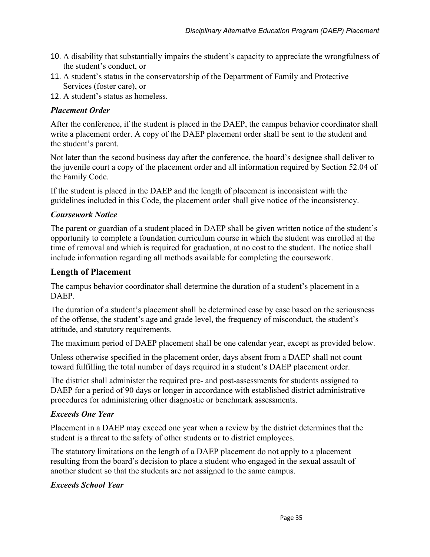- 10. A disability that substantially impairs the student's capacity to appreciate the wrongfulness of the student's conduct, or
- 11. A student's status in the conservatorship of the Department of Family and Protective Services (foster care), or
- 12. A student's status as homeless.

#### *Placement Order*

After the conference, if the student is placed in the DAEP, the campus behavior coordinator shall write a placement order. A copy of the DAEP placement order shall be sent to the student and the student's parent.

Not later than the second business day after the conference, the board's designee shall deliver to the juvenile court a copy of the placement order and all information required by Section 52.04 of the Family Code.

If the student is placed in the DAEP and the length of placement is inconsistent with the guidelines included in this Code, the placement order shall give notice of the inconsistency.

#### *Coursework Notice*

The parent or guardian of a student placed in DAEP shall be given written notice of the student's opportunity to complete a foundation curriculum course in which the student was enrolled at the time of removal and which is required for graduation, at no cost to the student. The notice shall include information regarding all methods available for completing the coursework.

### **Length of Placement**

The campus behavior coordinator shall determine the duration of a student's placement in a **DAEP** 

The duration of a student's placement shall be determined case by case based on the seriousness of the offense, the student's age and grade level, the frequency of misconduct, the student's attitude, and statutory requirements.

The maximum period of DAEP placement shall be one calendar year, except as provided below.

Unless otherwise specified in the placement order, days absent from a DAEP shall not count toward fulfilling the total number of days required in a student's DAEP placement order.

The district shall administer the required pre- and post-assessments for students assigned to DAEP for a period of 90 days or longer in accordance with established district administrative procedures for administering other diagnostic or benchmark assessments.

#### *Exceeds One Year*

Placement in a DAEP may exceed one year when a review by the district determines that the student is a threat to the safety of other students or to district employees.

The statutory limitations on the length of a DAEP placement do not apply to a placement resulting from the board's decision to place a student who engaged in the sexual assault of another student so that the students are not assigned to the same campus.

#### *Exceeds School Year*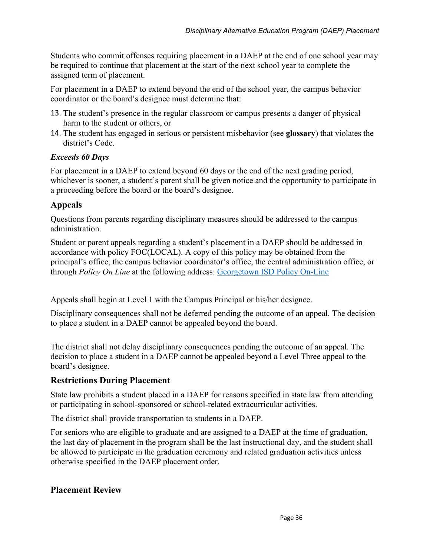Students who commit offenses requiring placement in a DAEP at the end of one school year may be required to continue that placement at the start of the next school year to complete the assigned term of placement.

For placement in a DAEP to extend beyond the end of the school year, the campus behavior coordinator or the board's designee must determine that:

- 13. The student's presence in the regular classroom or campus presents a danger of physical harm to the student or others, or
- 14. The student has engaged in serious or persistent misbehavior (see **glossary**) that violates the district's Code.

### *Exceeds 60 Days*

For placement in a DAEP to extend beyond 60 days or the end of the next grading period, whichever is sooner, a student's parent shall be given notice and the opportunity to participate in a proceeding before the board or the board's designee.

# **Appeals**

Questions from parents regarding disciplinary measures should be addressed to the campus administration.

Student or parent appeals regarding a student's placement in a DAEP should be addressed in accordance with policy FOC(LOCAL). A copy of this policy may be obtained from the principal's office, the campus behavior coordinator's office, the central administration office, or through *Policy On Line* at the following address: [Georgetown ISD Policy On-Line](http://pol.tasb.org/home/index/1240)

Appeals shall begin at Level 1 with the Campus Principal or his/her designee.

Disciplinary consequences shall not be deferred pending the outcome of an appeal. The decision to place a student in a DAEP cannot be appealed beyond the board.

The district shall not delay disciplinary consequences pending the outcome of an appeal. The decision to place a student in a DAEP cannot be appealed beyond a Level Three appeal to the board's designee.

# **Restrictions During Placement**

State law prohibits a student placed in a DAEP for reasons specified in state law from attending or participating in school-sponsored or school-related extracurricular activities.

The district shall provide transportation to students in a DAEP.

For seniors who are eligible to graduate and are assigned to a DAEP at the time of graduation, the last day of placement in the program shall be the last instructional day, and the student shall be allowed to participate in the graduation ceremony and related graduation activities unless otherwise specified in the DAEP placement order.

# **Placement Review**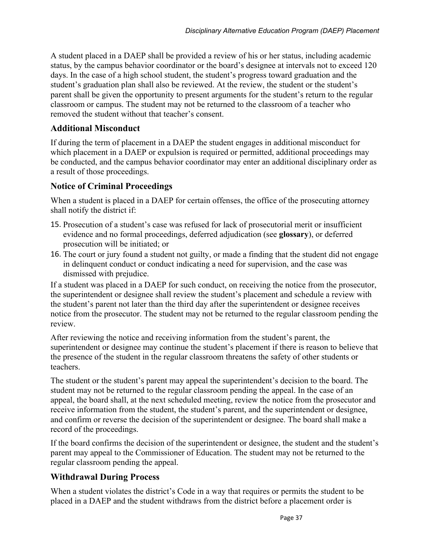A student placed in a DAEP shall be provided a review of his or her status, including academic status, by the campus behavior coordinator or the board's designee at intervals not to exceed 120 days. In the case of a high school student, the student's progress toward graduation and the student's graduation plan shall also be reviewed. At the review, the student or the student's parent shall be given the opportunity to present arguments for the student's return to the regular classroom or campus. The student may not be returned to the classroom of a teacher who removed the student without that teacher's consent.

### **Additional Misconduct**

If during the term of placement in a DAEP the student engages in additional misconduct for which placement in a DAEP or expulsion is required or permitted, additional proceedings may be conducted, and the campus behavior coordinator may enter an additional disciplinary order as a result of those proceedings.

### **Notice of Criminal Proceedings**

When a student is placed in a DAEP for certain offenses, the office of the prosecuting attorney shall notify the district if:

- 15. Prosecution of a student's case was refused for lack of prosecutorial merit or insufficient evidence and no formal proceedings, deferred adjudication (see **glossary**), or deferred prosecution will be initiated; or
- 16. The court or jury found a student not guilty, or made a finding that the student did not engage in delinquent conduct or conduct indicating a need for supervision, and the case was dismissed with prejudice.

If a student was placed in a DAEP for such conduct, on receiving the notice from the prosecutor, the superintendent or designee shall review the student's placement and schedule a review with the student's parent not later than the third day after the superintendent or designee receives notice from the prosecutor. The student may not be returned to the regular classroom pending the review.

After reviewing the notice and receiving information from the student's parent, the superintendent or designee may continue the student's placement if there is reason to believe that the presence of the student in the regular classroom threatens the safety of other students or teachers.

The student or the student's parent may appeal the superintendent's decision to the board. The student may not be returned to the regular classroom pending the appeal. In the case of an appeal, the board shall, at the next scheduled meeting, review the notice from the prosecutor and receive information from the student, the student's parent, and the superintendent or designee, and confirm or reverse the decision of the superintendent or designee. The board shall make a record of the proceedings.

If the board confirms the decision of the superintendent or designee, the student and the student's parent may appeal to the Commissioner of Education. The student may not be returned to the regular classroom pending the appeal.

# **Withdrawal During Process**

When a student violates the district's Code in a way that requires or permits the student to be placed in a DAEP and the student withdraws from the district before a placement order is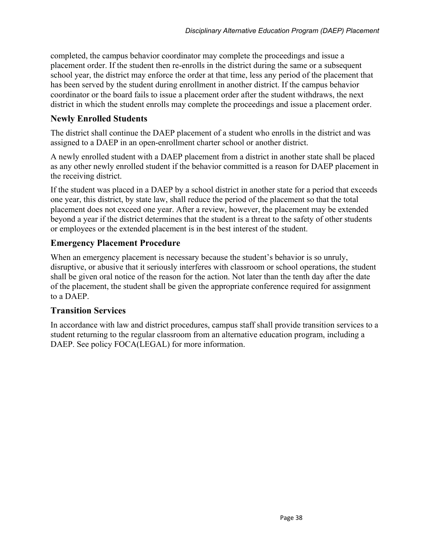completed, the campus behavior coordinator may complete the proceedings and issue a placement order. If the student then re-enrolls in the district during the same or a subsequent school year, the district may enforce the order at that time, less any period of the placement that has been served by the student during enrollment in another district. If the campus behavior coordinator or the board fails to issue a placement order after the student withdraws, the next district in which the student enrolls may complete the proceedings and issue a placement order.

# **Newly Enrolled Students**

The district shall continue the DAEP placement of a student who enrolls in the district and was assigned to a DAEP in an open-enrollment charter school or another district.

A newly enrolled student with a DAEP placement from a district in another state shall be placed as any other newly enrolled student if the behavior committed is a reason for DAEP placement in the receiving district.

If the student was placed in a DAEP by a school district in another state for a period that exceeds one year, this district, by state law, shall reduce the period of the placement so that the total placement does not exceed one year. After a review, however, the placement may be extended beyond a year if the district determines that the student is a threat to the safety of other students or employees or the extended placement is in the best interest of the student.

# **Emergency Placement Procedure**

When an emergency placement is necessary because the student's behavior is so unruly, disruptive, or abusive that it seriously interferes with classroom or school operations, the student shall be given oral notice of the reason for the action. Not later than the tenth day after the date of the placement, the student shall be given the appropriate conference required for assignment to a DAEP.

# **Transition Services**

In accordance with law and district procedures, campus staff shall provide transition services to a student returning to the regular classroom from an alternative education program, including a DAEP. See policy FOCA(LEGAL) for more information.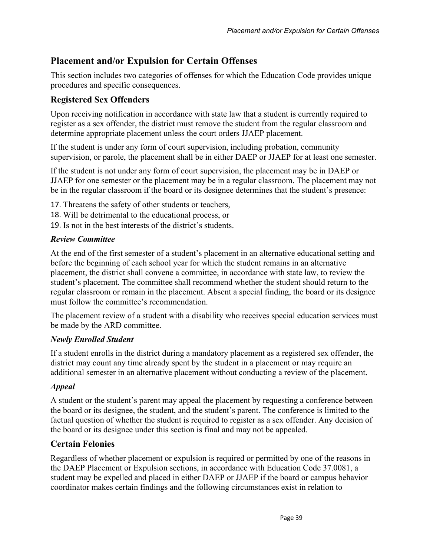# **Placement and/or Expulsion for Certain Offenses**

This section includes two categories of offenses for which the Education Code provides unique procedures and specific consequences.

# **Registered Sex Offenders**

Upon receiving notification in accordance with state law that a student is currently required to register as a sex offender, the district must remove the student from the regular classroom and determine appropriate placement unless the court orders JJAEP placement.

If the student is under any form of court supervision, including probation, community supervision, or parole, the placement shall be in either DAEP or JJAEP for at least one semester.

If the student is not under any form of court supervision, the placement may be in DAEP or JJAEP for one semester or the placement may be in a regular classroom. The placement may not be in the regular classroom if the board or its designee determines that the student's presence:

- 17. Threatens the safety of other students or teachers,
- 18. Will be detrimental to the educational process, or
- 19. Is not in the best interests of the district's students.

### *Review Committee*

At the end of the first semester of a student's placement in an alternative educational setting and before the beginning of each school year for which the student remains in an alternative placement, the district shall convene a committee, in accordance with state law, to review the student's placement. The committee shall recommend whether the student should return to the regular classroom or remain in the placement. Absent a special finding, the board or its designee must follow the committee's recommendation.

The placement review of a student with a disability who receives special education services must be made by the ARD committee.

#### *Newly Enrolled Student*

If a student enrolls in the district during a mandatory placement as a registered sex offender, the district may count any time already spent by the student in a placement or may require an additional semester in an alternative placement without conducting a review of the placement.

# *Appeal*

A student or the student's parent may appeal the placement by requesting a conference between the board or its designee, the student, and the student's parent. The conference is limited to the factual question of whether the student is required to register as a sex offender. Any decision of the board or its designee under this section is final and may not be appealed.

# **Certain Felonies**

Regardless of whether placement or expulsion is required or permitted by one of the reasons in the DAEP Placement or Expulsion sections, in accordance with Education Code 37.0081, a student may be expelled and placed in either DAEP or JJAEP if the board or campus behavior coordinator makes certain findings and the following circumstances exist in relation to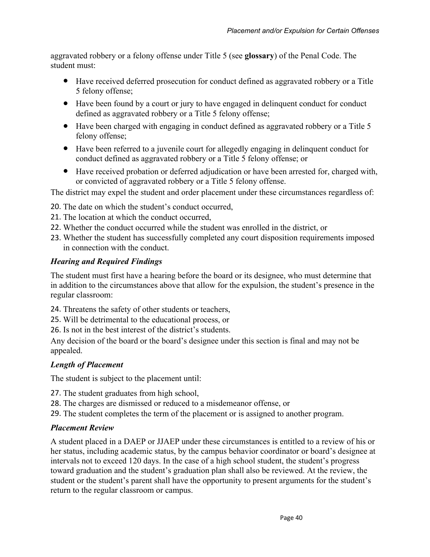aggravated robbery or a felony offense under Title 5 (see **glossary**) of the Penal Code. The student must:

- Have received deferred prosecution for conduct defined as aggravated robbery or a Title 5 felony offense;
- Have been found by a court or jury to have engaged in delinquent conduct for conduct defined as aggravated robbery or a Title 5 felony offense;
- Have been charged with engaging in conduct defined as aggravated robbery or a Title 5 felony offense;
- Have been referred to a juvenile court for allegedly engaging in delinquent conduct for conduct defined as aggravated robbery or a Title 5 felony offense; or
- Have received probation or deferred adjudication or have been arrested for, charged with, or convicted of aggravated robbery or a Title 5 felony offense.

The district may expel the student and order placement under these circumstances regardless of:

- 20. The date on which the student's conduct occurred,
- 21. The location at which the conduct occurred,
- 22. Whether the conduct occurred while the student was enrolled in the district, or
- 23. Whether the student has successfully completed any court disposition requirements imposed in connection with the conduct.

# *Hearing and Required Findings*

The student must first have a hearing before the board or its designee, who must determine that in addition to the circumstances above that allow for the expulsion, the student's presence in the regular classroom:

24. Threatens the safety of other students or teachers,

25. Will be detrimental to the educational process, or

26. Is not in the best interest of the district's students.

Any decision of the board or the board's designee under this section is final and may not be appealed.

# *Length of Placement*

The student is subject to the placement until:

- 27. The student graduates from high school,
- 28. The charges are dismissed or reduced to a misdemeanor offense, or
- 29. The student completes the term of the placement or is assigned to another program.

# *Placement Review*

A student placed in a DAEP or JJAEP under these circumstances is entitled to a review of his or her status, including academic status, by the campus behavior coordinator or board's designee at intervals not to exceed 120 days. In the case of a high school student, the student's progress toward graduation and the student's graduation plan shall also be reviewed. At the review, the student or the student's parent shall have the opportunity to present arguments for the student's return to the regular classroom or campus.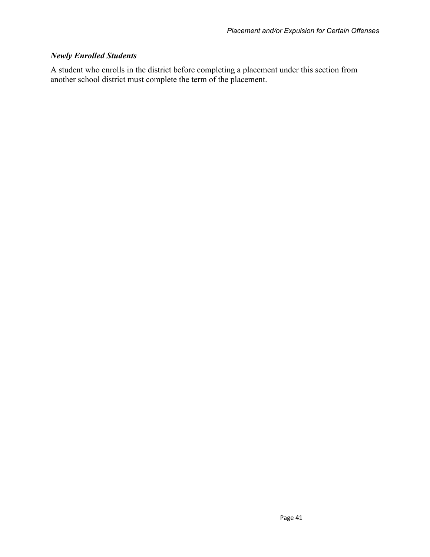# *Newly Enrolled Students*

A student who enrolls in the district before completing a placement under this section from another school district must complete the term of the placement.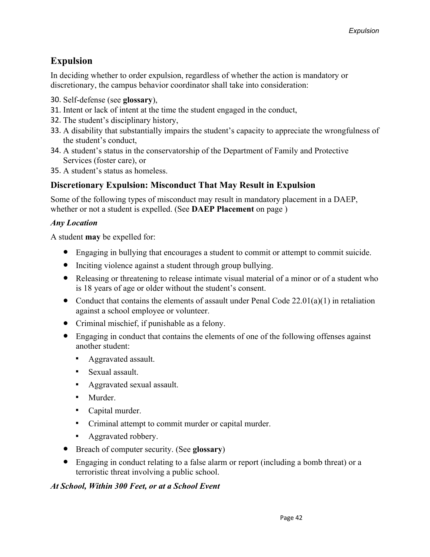# **Expulsion**

In deciding whether to order expulsion, regardless of whether the action is mandatory or discretionary, the campus behavior coordinator shall take into consideration:

- 30. Self-defense (see **glossary**),
- 31. Intent or lack of intent at the time the student engaged in the conduct,
- 32. The student's disciplinary history,
- 33. A disability that substantially impairs the student's capacity to appreciate the wrongfulness of the student's conduct,
- 34. A student's status in the conservatorship of the Department of Family and Protective Services (foster care), or
- 35. A student's status as homeless.

# **Discretionary Expulsion: Misconduct That May Result in Expulsion**

Some of the following types of misconduct may result in mandatory placement in a DAEP, whether or not a student is expelled. (See **DAEP Placement** on page )

# *Any Location*

A student **may** be expelled for:

- Engaging in bullying that encourages a student to commit or attempt to commit suicide.
- Inciting violence against a student through group bullying.
- Releasing or threatening to release intimate visual material of a minor or of a student who is 18 years of age or older without the student's consent.
- Conduct that contains the elements of assault under Penal Code  $22.01(a)(1)$  in retaliation against a school employee or volunteer.
- Criminal mischief, if punishable as a felony.
- Engaging in conduct that contains the elements of one of the following offenses against another student:
	- Aggravated assault.
	- Sexual assault.
	- Aggravated sexual assault.
	- Murder
	- Capital murder.
	- Criminal attempt to commit murder or capital murder.
	- Aggravated robbery.
- Breach of computer security. (See **glossary**)
- Engaging in conduct relating to a false alarm or report (including a bomb threat) or a terroristic threat involving a public school.

# *At School, Within 300 Feet, or at a School Event*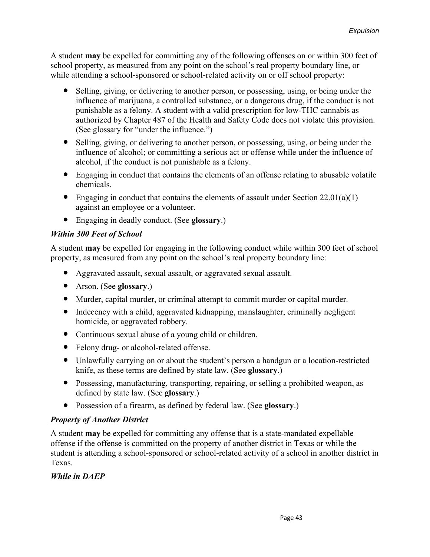A student **may** be expelled for committing any of the following offenses on or within 300 feet of school property, as measured from any point on the school's real property boundary line, or while attending a school-sponsored or school-related activity on or off school property:

- Selling, giving, or delivering to another person, or possessing, using, or being under the influence of marijuana, a controlled substance, or a dangerous drug, if the conduct is not punishable as a felony. A student with a valid prescription for low-THC cannabis as authorized by Chapter 487 of the Health and Safety Code does not violate this provision. (See glossary for "under the influence.")
- Selling, giving, or delivering to another person, or possessing, using, or being under the influence of alcohol; or committing a serious act or offense while under the influence of alcohol, if the conduct is not punishable as a felony.
- Engaging in conduct that contains the elements of an offense relating to abusable volatile chemicals.
- Engaging in conduct that contains the elements of assault under Section  $22.01(a)(1)$ against an employee or a volunteer.
- Engaging in deadly conduct. (See **glossary**.)

#### *Within 300 Feet of School*

A student **may** be expelled for engaging in the following conduct while within 300 feet of school property, as measured from any point on the school's real property boundary line:

- Aggravated assault, sexual assault, or aggravated sexual assault.
- Arson. (See **glossary**.)
- Murder, capital murder, or criminal attempt to commit murder or capital murder.
- Indecency with a child, aggravated kidnapping, manslaughter, criminally negligent homicide, or aggravated robbery.
- Continuous sexual abuse of a young child or children.
- Felony drug- or alcohol-related offense.
- Unlawfully carrying on or about the student's person a handgun or a location-restricted knife, as these terms are defined by state law. (See **glossary**.)
- Possessing, manufacturing, transporting, repairing, or selling a prohibited weapon, as defined by state law. (See **glossary**.)
- Possession of a firearm, as defined by federal law. (See **glossary**.)

#### *Property of Another District*

A student **may** be expelled for committing any offense that is a state-mandated expellable offense if the offense is committed on the property of another district in Texas or while the student is attending a school-sponsored or school-related activity of a school in another district in Texas.

#### *While in DAEP*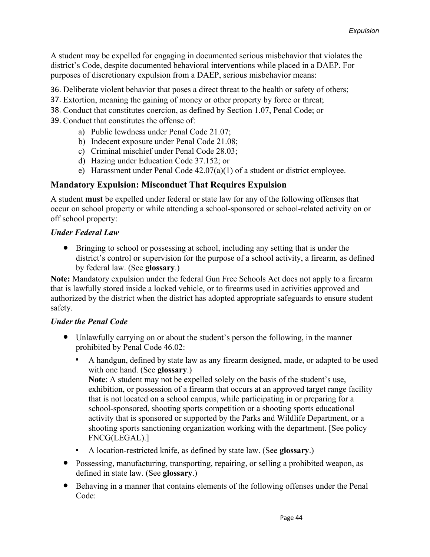A student may be expelled for engaging in documented serious misbehavior that violates the district's Code, despite documented behavioral interventions while placed in a DAEP. For purposes of discretionary expulsion from a DAEP, serious misbehavior means:

36. Deliberate violent behavior that poses a direct threat to the health or safety of others;

- 37. Extortion, meaning the gaining of money or other property by force or threat;
- 38. Conduct that constitutes coercion, as defined by Section 1.07, Penal Code; or
- 39. Conduct that constitutes the offense of:
	- a) Public lewdness under Penal Code 21.07;
	- b) Indecent exposure under Penal Code 21.08;
	- c) Criminal mischief under Penal Code 28.03;
	- d) Hazing under Education Code 37.152; or
	- e) Harassment under Penal Code 42.07(a)(1) of a student or district employee.

# **Mandatory Expulsion: Misconduct That Requires Expulsion**

A student **must** be expelled under federal or state law for any of the following offenses that occur on school property or while attending a school-sponsored or school-related activity on or off school property:

#### *Under Federal Law*

● Bringing to school or possessing at school, including any setting that is under the district's control or supervision for the purpose of a school activity, a firearm, as defined by federal law. (See **glossary**.)

**Note:** Mandatory expulsion under the federal Gun Free Schools Act does not apply to a firearm that is lawfully stored inside a locked vehicle, or to firearms used in activities approved and authorized by the district when the district has adopted appropriate safeguards to ensure student safety.

#### *Under the Penal Code*

- Unlawfully carrying on or about the student's person the following, in the manner prohibited by Penal Code 46.02:
	- A handgun, defined by state law as any firearm designed, made, or adapted to be used with one hand. (See **glossary**.)

**Note**: A student may not be expelled solely on the basis of the student's use, exhibition, or possession of a firearm that occurs at an approved target range facility that is not located on a school campus, while participating in or preparing for a school-sponsored, shooting sports competition or a shooting sports educational activity that is sponsored or supported by the Parks and Wildlife Department, or a shooting sports sanctioning organization working with the department. [See policy FNCG(LEGAL).]

- A location-restricted knife, as defined by state law. (See **glossary**.)
- Possessing, manufacturing, transporting, repairing, or selling a prohibited weapon, as defined in state law. (See **glossary**.)
- Behaving in a manner that contains elements of the following offenses under the Penal Code: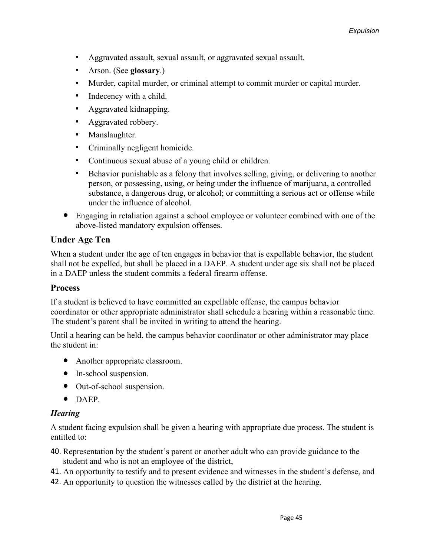- Aggravated assault, sexual assault, or aggravated sexual assault.
- Arson. (See **glossary**.)
- Murder, capital murder, or criminal attempt to commit murder or capital murder.
- Indecency with a child.
- Aggravated kidnapping.
- Aggravated robbery.
- **■** Manslaughter.
- Criminally negligent homicide.
- Continuous sexual abuse of a young child or children.
- Behavior punishable as a felony that involves selling, giving, or delivering to another person, or possessing, using, or being under the influence of marijuana, a controlled substance, a dangerous drug, or alcohol; or committing a serious act or offense while under the influence of alcohol.
- Engaging in retaliation against a school employee or volunteer combined with one of the above-listed mandatory expulsion offenses.

# **Under Age Ten**

When a student under the age of ten engages in behavior that is expellable behavior, the student shall not be expelled, but shall be placed in a DAEP. A student under age six shall not be placed in a DAEP unless the student commits a federal firearm offense.

#### **Process**

If a student is believed to have committed an expellable offense, the campus behavior coordinator or other appropriate administrator shall schedule a hearing within a reasonable time. The student's parent shall be invited in writing to attend the hearing.

Until a hearing can be held, the campus behavior coordinator or other administrator may place the student in:

- Another appropriate classroom.
- In-school suspension.
- Out-of-school suspension.
- DAEP.

#### *Hearing*

A student facing expulsion shall be given a hearing with appropriate due process. The student is entitled to:

- 40. Representation by the student's parent or another adult who can provide guidance to the student and who is not an employee of the district,
- 41. An opportunity to testify and to present evidence and witnesses in the student's defense, and
- 42. An opportunity to question the witnesses called by the district at the hearing.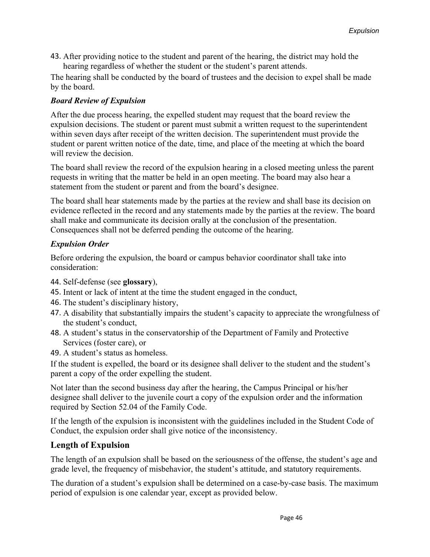43. After providing notice to the student and parent of the hearing, the district may hold the hearing regardless of whether the student or the student's parent attends.

The hearing shall be conducted by the board of trustees and the decision to expel shall be made by the board.

### *Board Review of Expulsion*

After the due process hearing, the expelled student may request that the board review the expulsion decisions. The student or parent must submit a written request to the superintendent within seven days after receipt of the written decision. The superintendent must provide the student or parent written notice of the date, time, and place of the meeting at which the board will review the decision.

The board shall review the record of the expulsion hearing in a closed meeting unless the parent requests in writing that the matter be held in an open meeting. The board may also hear a statement from the student or parent and from the board's designee.

The board shall hear statements made by the parties at the review and shall base its decision on evidence reflected in the record and any statements made by the parties at the review. The board shall make and communicate its decision orally at the conclusion of the presentation. Consequences shall not be deferred pending the outcome of the hearing.

### *Expulsion Order*

Before ordering the expulsion, the board or campus behavior coordinator shall take into consideration:

- 44. Self-defense (see **glossary**),
- 45. Intent or lack of intent at the time the student engaged in the conduct,
- 46. The student's disciplinary history,
- 47. A disability that substantially impairs the student's capacity to appreciate the wrongfulness of the student's conduct,
- 48. A student's status in the conservatorship of the Department of Family and Protective Services (foster care), or
- 49. A student's status as homeless.

If the student is expelled, the board or its designee shall deliver to the student and the student's parent a copy of the order expelling the student.

Not later than the second business day after the hearing, the Campus Principal or his/her designee shall deliver to the juvenile court a copy of the expulsion order and the information required by Section 52.04 of the Family Code.

If the length of the expulsion is inconsistent with the guidelines included in the Student Code of Conduct, the expulsion order shall give notice of the inconsistency.

# **Length of Expulsion**

The length of an expulsion shall be based on the seriousness of the offense, the student's age and grade level, the frequency of misbehavior, the student's attitude, and statutory requirements.

The duration of a student's expulsion shall be determined on a case-by-case basis. The maximum period of expulsion is one calendar year, except as provided below.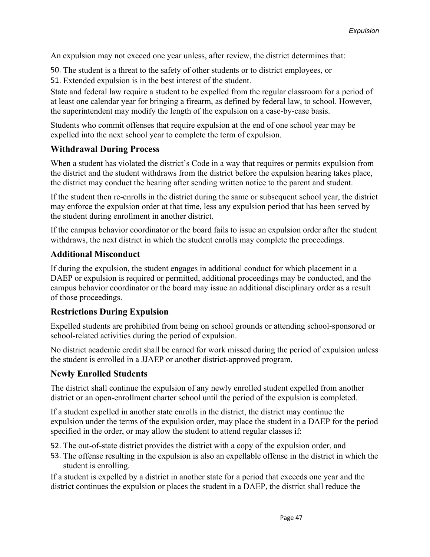An expulsion may not exceed one year unless, after review, the district determines that:

50. The student is a threat to the safety of other students or to district employees, or

51. Extended expulsion is in the best interest of the student.

State and federal law require a student to be expelled from the regular classroom for a period of at least one calendar year for bringing a firearm, as defined by federal law, to school. However, the superintendent may modify the length of the expulsion on a case-by-case basis.

Students who commit offenses that require expulsion at the end of one school year may be expelled into the next school year to complete the term of expulsion.

# **Withdrawal During Process**

When a student has violated the district's Code in a way that requires or permits expulsion from the district and the student withdraws from the district before the expulsion hearing takes place, the district may conduct the hearing after sending written notice to the parent and student.

If the student then re-enrolls in the district during the same or subsequent school year, the district may enforce the expulsion order at that time, less any expulsion period that has been served by the student during enrollment in another district.

If the campus behavior coordinator or the board fails to issue an expulsion order after the student withdraws, the next district in which the student enrolls may complete the proceedings.

#### **Additional Misconduct**

If during the expulsion, the student engages in additional conduct for which placement in a DAEP or expulsion is required or permitted, additional proceedings may be conducted, and the campus behavior coordinator or the board may issue an additional disciplinary order as a result of those proceedings.

# **Restrictions During Expulsion**

Expelled students are prohibited from being on school grounds or attending school-sponsored or school-related activities during the period of expulsion.

No district academic credit shall be earned for work missed during the period of expulsion unless the student is enrolled in a JJAEP or another district-approved program.

#### **Newly Enrolled Students**

The district shall continue the expulsion of any newly enrolled student expelled from another district or an open-enrollment charter school until the period of the expulsion is completed.

If a student expelled in another state enrolls in the district, the district may continue the expulsion under the terms of the expulsion order, may place the student in a DAEP for the period specified in the order, or may allow the student to attend regular classes if:

52. The out-of-state district provides the district with a copy of the expulsion order, and

53. The offense resulting in the expulsion is also an expellable offense in the district in which the student is enrolling.

If a student is expelled by a district in another state for a period that exceeds one year and the district continues the expulsion or places the student in a DAEP, the district shall reduce the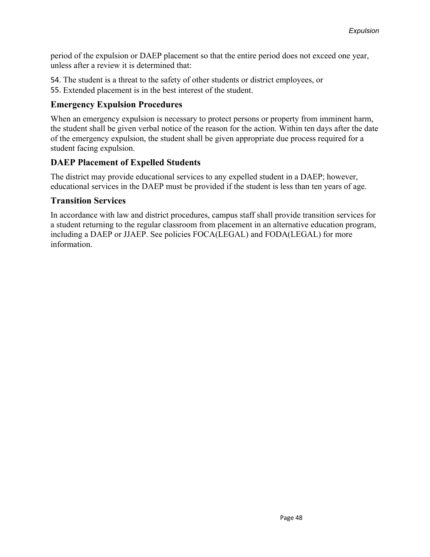period of the expulsion or DAEP placement so that the entire period does not exceed one year, unless after a review it is determined that:

54. The student is a threat to the safety of other students or district employees, or

55. Extended placement is in the best interest of the student.

# **Emergency Expulsion Procedures**

When an emergency expulsion is necessary to protect persons or property from imminent harm, the student shall be given verbal notice of the reason for the action. Within ten days after the date of the emergency expulsion, the student shall be given appropriate due process required for a student facing expulsion.

# **DAEP Placement of Expelled Students**

The district may provide educational services to any expelled student in a DAEP; however, educational services in the DAEP must be provided if the student is less than ten years of age.

# **Transition Services**

In accordance with law and district procedures, campus staff shall provide transition services for a student returning to the regular classroom from placement in an alternative education program, including a DAEP or JJAEP. See policies FOCA(LEGAL) and FODA(LEGAL) for more information.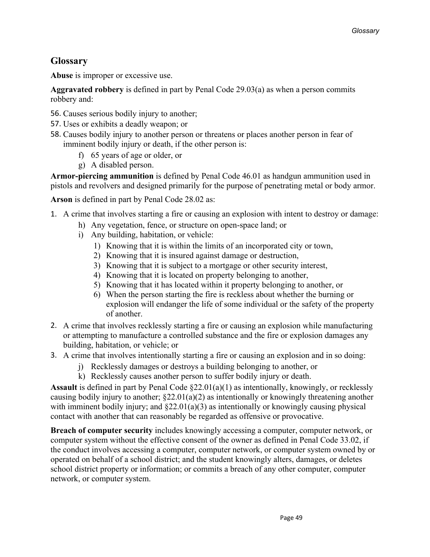# **Glossary**

**Abuse** is improper or excessive use.

**Aggravated robbery** is defined in part by Penal Code 29.03(a) as when a person commits robbery and:

- 56. Causes serious bodily injury to another;
- 57. Uses or exhibits a deadly weapon; or
- 58. Causes bodily injury to another person or threatens or places another person in fear of imminent bodily injury or death, if the other person is:
	- f) 65 years of age or older, or
	- g) A disabled person.

**Armor-piercing ammunition** is defined by Penal Code 46.01 as handgun ammunition used in pistols and revolvers and designed primarily for the purpose of penetrating metal or body armor.

**Arson** is defined in part by Penal Code 28.02 as:

- 1. A crime that involves starting a fire or causing an explosion with intent to destroy or damage:
	- h) Any vegetation, fence, or structure on open-space land; or
	- i) Any building, habitation, or vehicle:
		- 1) Knowing that it is within the limits of an incorporated city or town,
		- 2) Knowing that it is insured against damage or destruction,
		- 3) Knowing that it is subject to a mortgage or other security interest,
		- 4) Knowing that it is located on property belonging to another,
		- 5) Knowing that it has located within it property belonging to another, or
		- 6) When the person starting the fire is reckless about whether the burning or explosion will endanger the life of some individual or the safety of the property of another.
- 2. A crime that involves recklessly starting a fire or causing an explosion while manufacturing or attempting to manufacture a controlled substance and the fire or explosion damages any building, habitation, or vehicle; or
- 3. A crime that involves intentionally starting a fire or causing an explosion and in so doing:
	- j) Recklessly damages or destroys a building belonging to another, or
	- k) Recklessly causes another person to suffer bodily injury or death.

**Assault** is defined in part by Penal Code §22.01(a)(1) as intentionally, knowingly, or recklessly causing bodily injury to another;  $\S22.01(a)(2)$  as intentionally or knowingly threatening another with imminent bodily injury; and §22.01(a)(3) as intentionally or knowingly causing physical contact with another that can reasonably be regarded as offensive or provocative.

**Breach of computer security** includes knowingly accessing a computer, computer network, or computer system without the effective consent of the owner as defined in Penal Code 33.02, if the conduct involves accessing a computer, computer network, or computer system owned by or operated on behalf of a school district; and the student knowingly alters, damages, or deletes school district property or information; or commits a breach of any other computer, computer network, or computer system.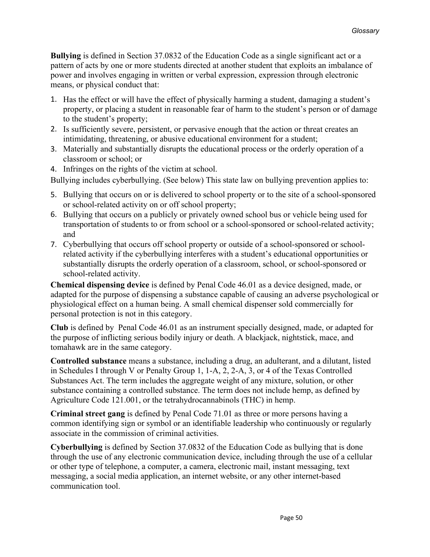**Bullying** is defined in Section 37.0832 of the Education Code as a single significant act or a pattern of acts by one or more students directed at another student that exploits an imbalance of power and involves engaging in written or verbal expression, expression through electronic means, or physical conduct that:

- 1. Has the effect or will have the effect of physically harming a student, damaging a student's property, or placing a student in reasonable fear of harm to the student's person or of damage to the student's property;
- 2. Is sufficiently severe, persistent, or pervasive enough that the action or threat creates an intimidating, threatening, or abusive educational environment for a student;
- 3. Materially and substantially disrupts the educational process or the orderly operation of a classroom or school; or
- 4. Infringes on the rights of the victim at school.

Bullying includes cyberbullying. (See below) This state law on bullying prevention applies to:

- 5. Bullying that occurs on or is delivered to school property or to the site of a school-sponsored or school-related activity on or off school property;
- 6. Bullying that occurs on a publicly or privately owned school bus or vehicle being used for transportation of students to or from school or a school-sponsored or school-related activity; and
- 7. Cyberbullying that occurs off school property or outside of a school-sponsored or schoolrelated activity if the cyberbullying interferes with a student's educational opportunities or substantially disrupts the orderly operation of a classroom, school, or school-sponsored or school-related activity.

**Chemical dispensing device** is defined by Penal Code 46.01 as a device designed, made, or adapted for the purpose of dispensing a substance capable of causing an adverse psychological or physiological effect on a human being. A small chemical dispenser sold commercially for personal protection is not in this category.

**Club** is defined by Penal Code 46.01 as an instrument specially designed, made, or adapted for the purpose of inflicting serious bodily injury or death. A blackjack, nightstick, mace, and tomahawk are in the same category.

**Controlled substance** means a substance, including a drug, an adulterant, and a dilutant, listed in Schedules I through V or Penalty Group 1, 1-A, 2, 2-A, 3, or 4 of the Texas Controlled Substances Act. The term includes the aggregate weight of any mixture, solution, or other substance containing a controlled substance. The term does not include hemp, as defined by Agriculture Code 121.001, or the tetrahydrocannabinols (THC) in hemp.

**Criminal street gang** is defined by Penal Code 71.01 as three or more persons having a common identifying sign or symbol or an identifiable leadership who continuously or regularly associate in the commission of criminal activities.

**Cyberbullying** is defined by Section 37.0832 of the Education Code as bullying that is done through the use of any electronic communication device, including through the use of a cellular or other type of telephone, a computer, a camera, electronic mail, instant messaging, text messaging, a social media application, an internet website, or any other internet-based communication tool.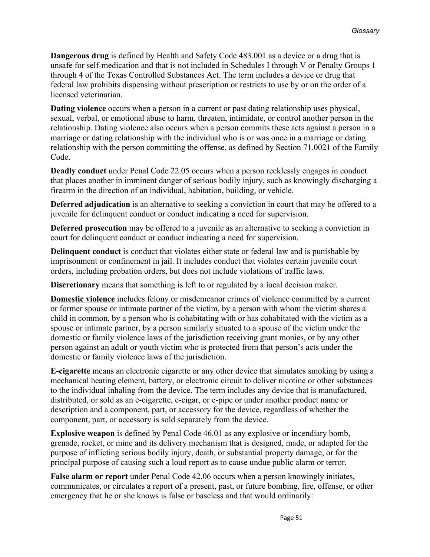**Dangerous drug** is defined by Health and Safety Code 483.001 as a device or a drug that is unsafe for self-medication and that is not included in Schedules I through V or Penalty Groups 1 through 4 of the Texas Controlled Substances Act. The term includes a device or drug that federal law prohibits dispensing without prescription or restricts to use by or on the order of a licensed veterinarian.

**Dating violence** occurs when a person in a current or past dating relationship uses physical, sexual, verbal, or emotional abuse to harm, threaten, intimidate, or control another person in the relationship. Dating violence also occurs when a person commits these acts against a person in a marriage or dating relationship with the individual who is or was once in a marriage or dating relationship with the person committing the offense, as defined by Section 71.0021 of the Family Code.

**Deadly conduct** under Penal Code 22.05 occurs when a person recklessly engages in conduct that places another in imminent danger of serious bodily injury, such as knowingly discharging a firearm in the direction of an individual, habitation, building, or vehicle.

**Deferred adjudication** is an alternative to seeking a conviction in court that may be offered to a juvenile for delinquent conduct or conduct indicating a need for supervision.

**Deferred prosecution** may be offered to a juvenile as an alternative to seeking a conviction in court for delinquent conduct or conduct indicating a need for supervision.

**Delinquent conduct** is conduct that violates either state or federal law and is punishable by imprisonment or confinement in jail. It includes conduct that violates certain juvenile court orders, including probation orders, but does not include violations of traffic laws.

**Discretionary** means that something is left to or regulated by a local decision maker.

**Domestic violence** includes felony or misdemeanor crimes of violence committed by a current or former spouse or intimate partner of the victim, by a person with whom the victim shares a child in common, by a person who is cohabitating with or has cohabitated with the victim as a spouse or intimate partner, by a person similarly situated to a spouse of the victim under the domestic or family violence laws of the jurisdiction receiving grant monies, or by any other person against an adult or youth victim who is protected from that person's acts under the domestic or family violence laws of the jurisdiction.

**E-cigarette** means an electronic cigarette or any other device that simulates smoking by using a mechanical heating element, battery, or electronic circuit to deliver nicotine or other substances to the individual inhaling from the device. The term includes any device that is manufactured, distributed, or sold as an e-cigarette, e-cigar, or e-pipe or under another product name or description and a component, part, or accessory for the device, regardless of whether the component, part, or accessory is sold separately from the device.

**Explosive weapon** is defined by Penal Code 46.01 as any explosive or incendiary bomb, grenade, rocket, or mine and its delivery mechanism that is designed, made, or adapted for the purpose of inflicting serious bodily injury, death, or substantial property damage, or for the principal purpose of causing such a loud report as to cause undue public alarm or terror.

**False alarm or report** under Penal Code 42.06 occurs when a person knowingly initiates, communicates, or circulates a report of a present, past, or future bombing, fire, offense, or other emergency that he or she knows is false or baseless and that would ordinarily: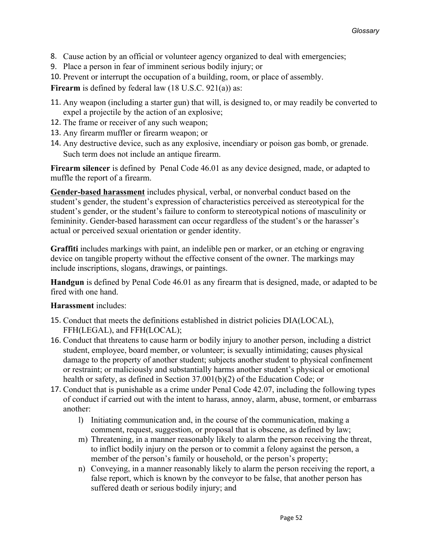- 8. Cause action by an official or volunteer agency organized to deal with emergencies;
- 9. Place a person in fear of imminent serious bodily injury; or
- 10. Prevent or interrupt the occupation of a building, room, or place of assembly.

**Firearm** is defined by federal law (18 U.S.C. 921(a)) as:

- 11. Any weapon (including a starter gun) that will, is designed to, or may readily be converted to expel a projectile by the action of an explosive;
- 12. The frame or receiver of any such weapon;
- 13. Any firearm muffler or firearm weapon; or
- 14. Any destructive device, such as any explosive, incendiary or poison gas bomb, or grenade. Such term does not include an antique firearm.

**Firearm silencer** is defined by Penal Code 46.01 as any device designed, made, or adapted to muffle the report of a firearm.

**Gender-based harassment** includes physical, verbal, or nonverbal conduct based on the student's gender, the student's expression of characteristics perceived as stereotypical for the student's gender, or the student's failure to conform to stereotypical notions of masculinity or femininity. Gender-based harassment can occur regardless of the student's or the harasser's actual or perceived sexual orientation or gender identity.

**Graffiti** includes markings with paint, an indelible pen or marker, or an etching or engraving device on tangible property without the effective consent of the owner. The markings may include inscriptions, slogans, drawings, or paintings.

**Handgun** is defined by Penal Code 46.01 as any firearm that is designed, made, or adapted to be fired with one hand.

#### **Harassment** includes:

- 15. Conduct that meets the definitions established in district policies DIA(LOCAL), FFH(LEGAL), and FFH(LOCAL);
- 16. Conduct that threatens to cause harm or bodily injury to another person, including a district student, employee, board member, or volunteer; is sexually intimidating; causes physical damage to the property of another student; subjects another student to physical confinement or restraint; or maliciously and substantially harms another student's physical or emotional health or safety, as defined in Section 37.001(b)(2) of the Education Code; or
- 17. Conduct that is punishable as a crime under Penal Code 42.07, including the following types of conduct if carried out with the intent to harass, annoy, alarm, abuse, torment, or embarrass another:
	- l) Initiating communication and, in the course of the communication, making a comment, request, suggestion, or proposal that is obscene, as defined by law;
	- m) Threatening, in a manner reasonably likely to alarm the person receiving the threat, to inflict bodily injury on the person or to commit a felony against the person, a member of the person's family or household, or the person's property;
	- n) Conveying, in a manner reasonably likely to alarm the person receiving the report, a false report, which is known by the conveyor to be false, that another person has suffered death or serious bodily injury; and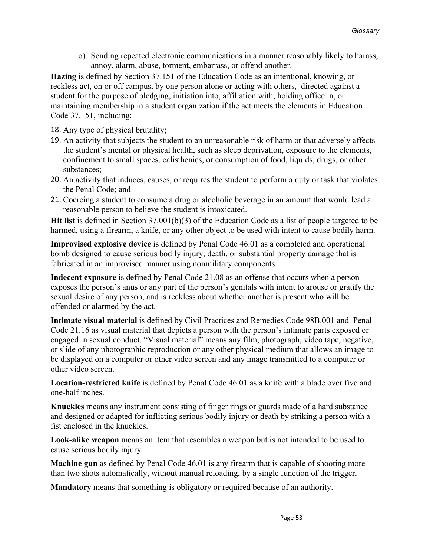o) Sending repeated electronic communications in a manner reasonably likely to harass, annoy, alarm, abuse, torment, embarrass, or offend another.

**Hazing** is defined by Section 37.151 of the Education Code as an intentional, knowing, or reckless act, on or off campus, by one person alone or acting with others, directed against a student for the purpose of pledging, initiation into, affiliation with, holding office in, or maintaining membership in a student organization if the act meets the elements in Education Code 37.151, including:

18. Any type of physical brutality;

- 19. An activity that subjects the student to an unreasonable risk of harm or that adversely affects the student's mental or physical health, such as sleep deprivation, exposure to the elements, confinement to small spaces, calisthenics, or consumption of food, liquids, drugs, or other substances;
- 20. An activity that induces, causes, or requires the student to perform a duty or task that violates the Penal Code; and
- 21. Coercing a student to consume a drug or alcoholic beverage in an amount that would lead a reasonable person to believe the student is intoxicated.

**Hit list** is defined in Section 37.001(b)(3) of the Education Code as a list of people targeted to be harmed, using a firearm, a knife, or any other object to be used with intent to cause bodily harm.

**Improvised explosive device** is defined by Penal Code 46.01 as a completed and operational bomb designed to cause serious bodily injury, death, or substantial property damage that is fabricated in an improvised manner using nonmilitary components.

**Indecent exposure** is defined by Penal Code 21.08 as an offense that occurs when a person exposes the person's anus or any part of the person's genitals with intent to arouse or gratify the sexual desire of any person, and is reckless about whether another is present who will be offended or alarmed by the act.

**Intimate visual material** is defined by Civil Practices and Remedies Code 98B.001 and Penal Code 21.16 as visual material that depicts a person with the person's intimate parts exposed or engaged in sexual conduct. "Visual material" means any film, photograph, video tape, negative, or slide of any photographic reproduction or any other physical medium that allows an image to be displayed on a computer or other video screen and any image transmitted to a computer or other video screen.

**Location-restricted knife** is defined by Penal Code 46.01 as a knife with a blade over five and one-half inches.

**Knuckles** means any instrument consisting of finger rings or guards made of a hard substance and designed or adapted for inflicting serious bodily injury or death by striking a person with a fist enclosed in the knuckles.

**Look-alike weapon** means an item that resembles a weapon but is not intended to be used to cause serious bodily injury.

**Machine gun** as defined by Penal Code 46.01 is any firearm that is capable of shooting more than two shots automatically, without manual reloading, by a single function of the trigger.

**Mandatory** means that something is obligatory or required because of an authority.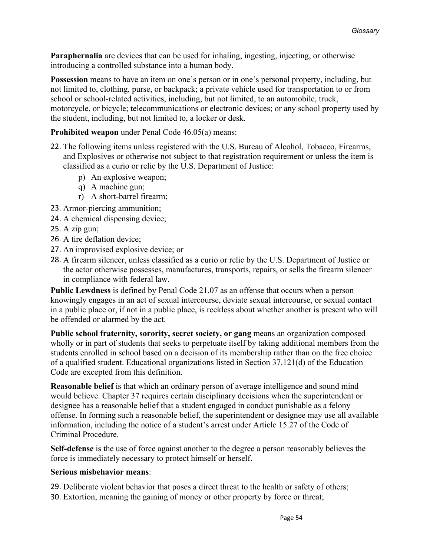**Paraphernalia** are devices that can be used for inhaling, ingesting, injecting, or otherwise introducing a controlled substance into a human body.

**Possession** means to have an item on one's person or in one's personal property, including, but not limited to, clothing, purse, or backpack; a private vehicle used for transportation to or from school or school-related activities, including, but not limited, to an automobile, truck, motorcycle, or bicycle; telecommunications or electronic devices; or any school property used by the student, including, but not limited to, a locker or desk.

#### **Prohibited weapon** under Penal Code 46.05(a) means:

- 22. The following items unless registered with the U.S. Bureau of Alcohol, Tobacco, Firearms, and Explosives or otherwise not subject to that registration requirement or unless the item is classified as a curio or relic by the U.S. Department of Justice:
	- p) An explosive weapon;
	- q) A machine gun;
	- r) A short-barrel firearm;
- 23. Armor-piercing ammunition;
- 24. A chemical dispensing device;
- 25. A zip gun;
- 26. A tire deflation device;
- 27. An improvised explosive device; or
- 28. A firearm silencer, unless classified as a curio or relic by the U.S. Department of Justice or the actor otherwise possesses, manufactures, transports, repairs, or sells the firearm silencer in compliance with federal law.

**Public Lewdness** is defined by Penal Code 21.07 as an offense that occurs when a person knowingly engages in an act of sexual intercourse, deviate sexual intercourse, or sexual contact in a public place or, if not in a public place, is reckless about whether another is present who will be offended or alarmed by the act.

**Public school fraternity, sorority, secret society, or gang** means an organization composed wholly or in part of students that seeks to perpetuate itself by taking additional members from the students enrolled in school based on a decision of its membership rather than on the free choice of a qualified student. Educational organizations listed in Section 37.121(d) of the Education Code are excepted from this definition.

**Reasonable belief** is that which an ordinary person of average intelligence and sound mind would believe. Chapter 37 requires certain disciplinary decisions when the superintendent or designee has a reasonable belief that a student engaged in conduct punishable as a felony offense. In forming such a reasonable belief, the superintendent or designee may use all available information, including the notice of a student's arrest under Article 15.27 of the Code of Criminal Procedure.

**Self-defense** is the use of force against another to the degree a person reasonably believes the force is immediately necessary to protect himself or herself.

#### **Serious misbehavior means**:

29. Deliberate violent behavior that poses a direct threat to the health or safety of others; 30. Extortion, meaning the gaining of money or other property by force or threat;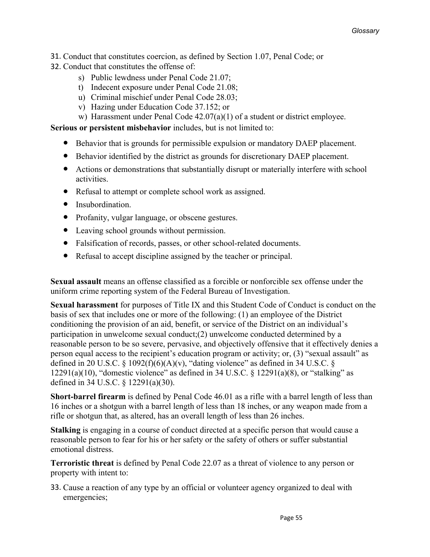- 31. Conduct that constitutes coercion, as defined by Section 1.07, Penal Code; or
- 32. Conduct that constitutes the offense of:
	- s) Public lewdness under Penal Code 21.07;
	- t) Indecent exposure under Penal Code 21.08;
	- u) Criminal mischief under Penal Code 28.03;
	- v) Hazing under Education Code 37.152; or
	- w) Harassment under Penal Code 42.07(a)(1) of a student or district employee.

**Serious or persistent misbehavior** includes, but is not limited to:

- Behavior that is grounds for permissible expulsion or mandatory DAEP placement.
- Behavior identified by the district as grounds for discretionary DAEP placement.
- Actions or demonstrations that substantially disrupt or materially interfere with school activities.
- Refusal to attempt or complete school work as assigned.
- Insubordination.
- Profanity, vulgar language, or obscene gestures.
- Leaving school grounds without permission.
- Falsification of records, passes, or other school-related documents.
- Refusal to accept discipline assigned by the teacher or principal.

**Sexual assault** means an offense classified as a forcible or nonforcible sex offense under the uniform crime reporting system of the Federal Bureau of Investigation.

**Sexual harassment** for purposes of Title IX and this Student Code of Conduct is conduct on the basis of sex that includes one or more of the following: (1) an employee of the District conditioning the provision of an aid, benefit, or service of the District on an individual's participation in unwelcome sexual conduct;(2) unwelcome conducted determined by a reasonable person to be so severe, pervasive, and objectively offensive that it effectively denies a person equal access to the recipient's education program or activity; or, (3) "sexual assault" as defined in 20 U.S.C.  $\S$  1092(f)(6)(A)(v), "dating violence" as defined in 34 U.S.C.  $\S$ 12291(a)(10), "domestic violence" as defined in 34 U.S.C.  $\S$  12291(a)(8), or "stalking" as defined in 34 U.S.C. § 12291(a)(30).

**Short-barrel firearm** is defined by Penal Code 46.01 as a rifle with a barrel length of less than 16 inches or a shotgun with a barrel length of less than 18 inches, or any weapon made from a rifle or shotgun that, as altered, has an overall length of less than 26 inches.

**Stalking** is engaging in a course of conduct directed at a specific person that would cause a reasonable person to fear for his or her safety or the safety of others or suffer substantial emotional distress.

**Terroristic threat** is defined by Penal Code 22.07 as a threat of violence to any person or property with intent to:

33. Cause a reaction of any type by an official or volunteer agency organized to deal with emergencies;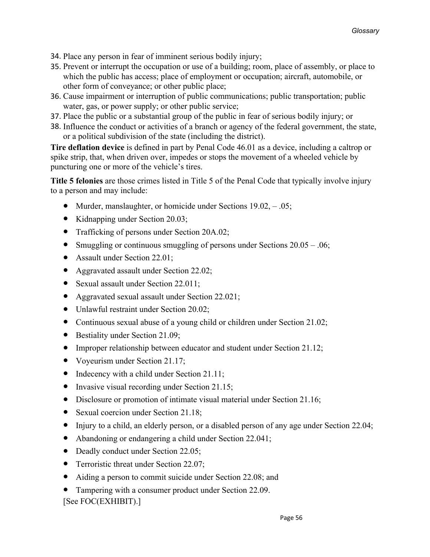- 34. Place any person in fear of imminent serious bodily injury;
- 35. Prevent or interrupt the occupation or use of a building; room, place of assembly, or place to which the public has access; place of employment or occupation; aircraft, automobile, or other form of conveyance; or other public place;
- 36. Cause impairment or interruption of public communications; public transportation; public water, gas, or power supply; or other public service;
- 37. Place the public or a substantial group of the public in fear of serious bodily injury; or
- 38. Influence the conduct or activities of a branch or agency of the federal government, the state, or a political subdivision of the state (including the district).

**Tire deflation device** is defined in part by Penal Code 46.01 as a device, including a caltrop or spike strip, that, when driven over, impedes or stops the movement of a wheeled vehicle by puncturing one or more of the vehicle's tires.

**Title 5 felonies** are those crimes listed in Title 5 of the Penal Code that typically involve injury to a person and may include:

- Murder, manslaughter, or homicide under Sections  $19.02, -0.05$ ;
- Kidnapping under Section 20.03;
- Trafficking of persons under Section 20A.02;
- Smuggling or continuous smuggling of persons under Sections  $20.05 0.06$ ;
- Assault under Section 22.01;
- Aggravated assault under Section 22.02;
- Sexual assault under Section 22.011;
- Aggravated sexual assault under Section 22.021;
- Unlawful restraint under Section 20.02;
- Continuous sexual abuse of a young child or children under Section 21.02;
- Bestiality under Section 21.09;
- Improper relationship between educator and student under Section 21.12;
- Voyeurism under Section 21.17;
- Indecency with a child under Section 21.11;
- Invasive visual recording under Section 21.15;
- Disclosure or promotion of intimate visual material under Section 21.16;
- Sexual coercion under Section 21.18;
- Injury to a child, an elderly person, or a disabled person of any age under Section 22.04;
- Abandoning or endangering a child under Section 22.041;
- Deadly conduct under Section 22.05;
- Terroristic threat under Section 22.07;
- Aiding a person to commit suicide under Section 22.08; and
- Tampering with a consumer product under Section 22.09. [See FOC(EXHIBIT).]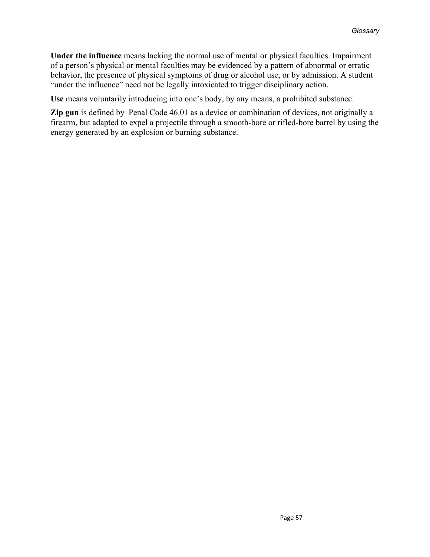**Under the influence** means lacking the normal use of mental or physical faculties. Impairment of a person's physical or mental faculties may be evidenced by a pattern of abnormal or erratic behavior, the presence of physical symptoms of drug or alcohol use, or by admission. A student "under the influence" need not be legally intoxicated to trigger disciplinary action.

**Use** means voluntarily introducing into one's body, by any means, a prohibited substance.

**Zip gun** is defined by Penal Code 46.01 as a device or combination of devices, not originally a firearm, but adapted to expel a projectile through a smooth-bore or rifled-bore barrel by using the energy generated by an explosion or burning substance.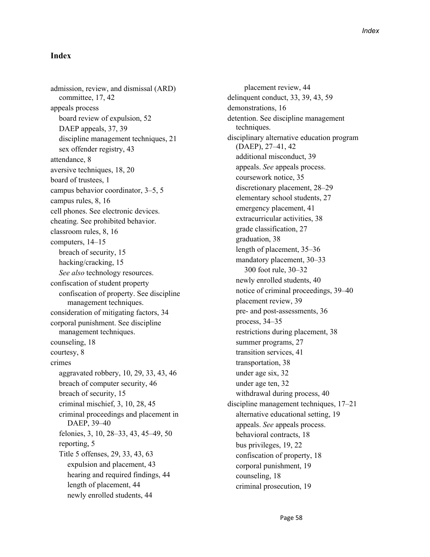#### **Index**

admission, review, and dismissal (ARD) committee, 17, 42 appeals process board review of expulsion, 52 DAEP appeals, 37, 39 discipline management techniques, 21 sex offender registry, 43 attendance, 8 aversive techniques, 18, 20 board of trustees, 1 campus behavior coordinator, 3–5, 5 campus rules, 8, 16 cell phones. See electronic devices. cheating. See prohibited behavior. classroom rules, 8, 16 computers, 14–15 breach of security, 15 hacking/cracking, 15 *See also* technology resources. confiscation of student property confiscation of property. See discipline management techniques. consideration of mitigating factors, 34 corporal punishment. See discipline management techniques. counseling, 18 courtesy, 8 crimes aggravated robbery, 10, 29, 33, 43, 46 breach of computer security, 46 breach of security, 15 criminal mischief, 3, 10, 28, 45 criminal proceedings and placement in DAEP, 39–40 felonies, 3, 10, 28–33, 43, 45–49, 50 reporting, 5 Title 5 offenses, 29, 33, 43, 63 expulsion and placement, 43 hearing and required findings, 44 length of placement, 44 newly enrolled students, 44

placement review, 44 delinquent conduct, 33, 39, 43, 59 demonstrations, 16 detention. See discipline management techniques. disciplinary alternative education program (DAEP), 27–41, 42 additional misconduct, 39 appeals. *See* appeals process. coursework notice, 35 discretionary placement, 28–29 elementary school students, 27 emergency placement, 41 extracurricular activities, 38 grade classification, 27 graduation, 38 length of placement, 35–36 mandatory placement, 30–33 300 foot rule, 30–32 newly enrolled students, 40 notice of criminal proceedings, 39–40 placement review, 39 pre- and post-assessments, 36 process, 34–35 restrictions during placement, 38 summer programs, 27 transition services, 41 transportation, 38 under age six, 32 under age ten, 32 withdrawal during process, 40 discipline management techniques, 17–21 alternative educational setting, 19 appeals. *See* appeals process. behavioral contracts, 18 bus privileges, 19, 22 confiscation of property, 18 corporal punishment, 19 counseling, 18 criminal prosecution, 19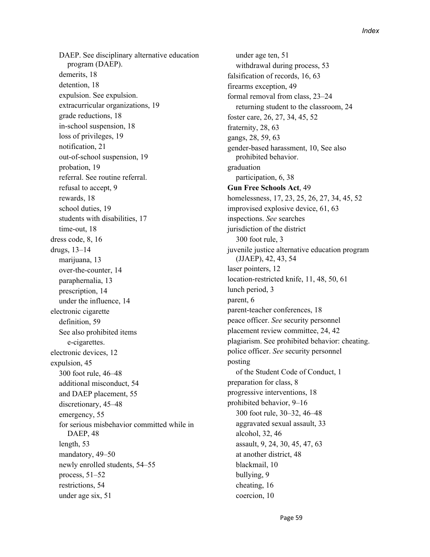DAEP. See disciplinary alternative education program (DAEP). demerits, 18 detention, 18 expulsion. See expulsion. extracurricular organizations, 19 grade reductions, 18 in-school suspension, 18 loss of privileges, 19 notification, 21 out-of-school suspension, 19 probation, 19 referral. See routine referral. refusal to accept, 9 rewards, 18 school duties, 19 students with disabilities, 17 time-out, 18 dress code, 8, 16 drugs, 13–14 marijuana, 13 over-the-counter, 14 paraphernalia, 13 prescription, 14 under the influence, 14 electronic cigarette definition, 59 See also prohibited items e-cigarettes. electronic devices, 12 expulsion, 45 300 foot rule, 46–48 additional misconduct, 54 and DAEP placement, 55 discretionary, 45–48 emergency, 55 for serious misbehavior committed while in DAEP, 48 length, 53 mandatory, 49–50 newly enrolled students, 54–55 process, 51–52 restrictions, 54 under age six, 51

under age ten, 51 withdrawal during process, 53 falsification of records, 16, 63 firearms exception, 49 formal removal from class, 23–24 returning student to the classroom, 24 foster care, 26, 27, 34, 45, 52 fraternity, 28, 63 gangs, 28, 59, 63 gender-based harassment, 10, See also prohibited behavior. graduation participation, 6, 38 **Gun Free Schools Act**, 49 homelessness, 17, 23, 25, 26, 27, 34, 45, 52 improvised explosive device, 61, 63 inspections. *See* searches jurisdiction of the district 300 foot rule, 3 juvenile justice alternative education program (JJAEP), 42, 43, 54 laser pointers, 12 location-restricted knife, 11, 48, 50, 61 lunch period, 3 parent, 6 parent-teacher conferences, 18 peace officer. *See* security personnel placement review committee, 24, 42 plagiarism. See prohibited behavior: cheating. police officer. *See* security personnel posting of the Student Code of Conduct, 1 preparation for class, 8 progressive interventions, 18 prohibited behavior, 9–16 300 foot rule, 30–32, 46–48 aggravated sexual assault, 33 alcohol, 32, 46 assault, 9, 24, 30, 45, 47, 63 at another district, 48 blackmail, 10 bullying, 9 cheating, 16 coercion, 10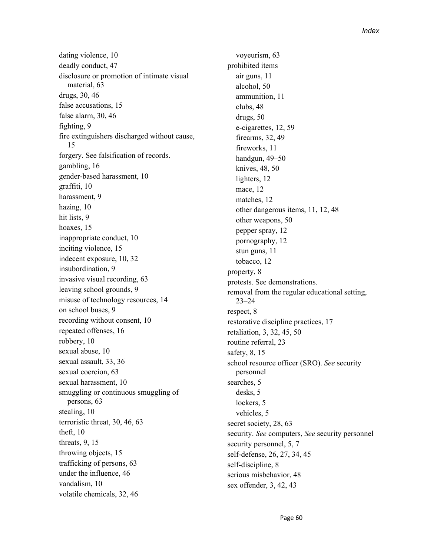dating violence, 10 deadly conduct, 47 disclosure or promotion of intimate visual material, 63 drugs, 30, 46 false accusations, 15 false alarm, 30, 46 fighting, 9 fire extinguishers discharged without cause, 15 forgery. See falsification of records. gambling, 16 gender-based harassment, 10 graffiti, 10 harassment, 9 hazing, 10 hit lists, 9 hoaxes, 15 inappropriate conduct, 10 inciting violence, 15 indecent exposure, 10, 32 insubordination, 9 invasive visual recording, 63 leaving school grounds, 9 misuse of technology resources, 14 on school buses, 9 recording without consent, 10 repeated offenses, 16 robbery, 10 sexual abuse, 10 sexual assault, 33, 36 sexual coercion, 63 sexual harassment, 10 smuggling or continuous smuggling of persons, 63 stealing, 10 terroristic threat, 30, 46, 63 theft, 10 threats, 9, 15 throwing objects, 15 trafficking of persons, 63 under the influence, 46 vandalism, 10 volatile chemicals, 32, 46

voyeurism, 63 prohibited items air guns, 11 alcohol, 50 ammunition, 11 clubs, 48 drugs, 50 e-cigarettes, 12, 59 firearms, 32, 49 fireworks, 11 handgun, 49–50 knives, 48, 50 lighters, 12 mace, 12 matches, 12 other dangerous items, 11, 12, 48 other weapons, 50 pepper spray, 12 pornography, 12 stun guns, 11 tobacco, 12 property, 8 protests. See demonstrations. removal from the regular educational setting, 23–24 respect, 8 restorative discipline practices, 17 retaliation, 3, 32, 45, 50 routine referral, 23 safety, 8, 15 school resource officer (SRO). *See* security personnel searches, 5 desks, 5 lockers, 5 vehicles, 5 secret society, 28, 63 security. *See* computers, *See* security personnel security personnel, 5, 7 self-defense, 26, 27, 34, 45 self-discipline, 8 serious misbehavior, 48 sex offender, 3, 42, 43